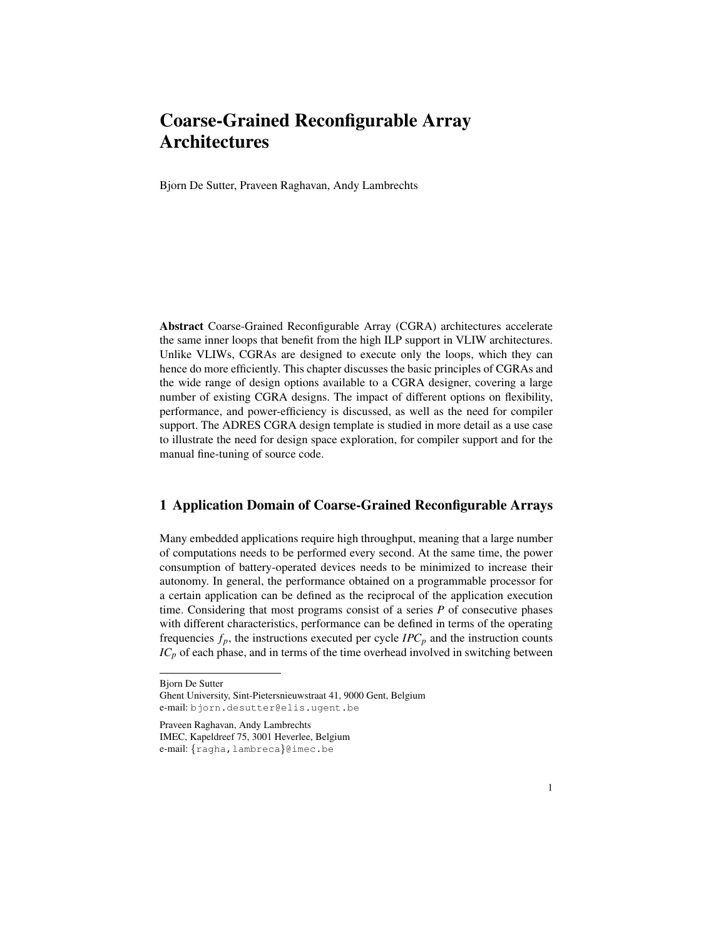# Coarse-Grained Reconfigurable Array Architectures

Bjorn De Sutter, Praveen Raghavan, Andy Lambrechts

Abstract Coarse-Grained Reconfigurable Array (CGRA) architectures accelerate the same inner loops that benefit from the high ILP support in VLIW architectures. Unlike VLIWs, CGRAs are designed to execute only the loops, which they can hence do more efficiently. This chapter discusses the basic principles of CGRAs and the wide range of design options available to a CGRA designer, covering a large number of existing CGRA designs. The impact of different options on flexibility, performance, and power-efficiency is discussed, as well as the need for compiler support. The ADRES CGRA design template is studied in more detail as a use case to illustrate the need for design space exploration, for compiler support and for the manual fine-tuning of source code.

# 1 Application Domain of Coarse-Grained Reconfigurable Arrays

Many embedded applications require high throughput, meaning that a large number of computations needs to be performed every second. At the same time, the power consumption of battery-operated devices needs to be minimized to increase their autonomy. In general, the performance obtained on a programmable processor for a certain application can be defined as the reciprocal of the application execution time. Considering that most programs consist of a series *P* of consecutive phases with different characteristics, performance can be defined in terms of the operating frequencies  $f_p$ , the instructions executed per cycle  $IPC_p$  and the instruction counts *IC<sub>p</sub>* of each phase, and in terms of the time overhead involved in switching between

Bjorn De Sutter

Ghent University, Sint-Pietersnieuwstraat 41, 9000 Gent, Belgium e-mail: bjorn.desutter@elis.ugent.be

Praveen Raghavan, Andy Lambrechts IMEC, Kapeldreef 75, 3001 Heverlee, Belgium e-mail: {ragha,lambreca}@imec.be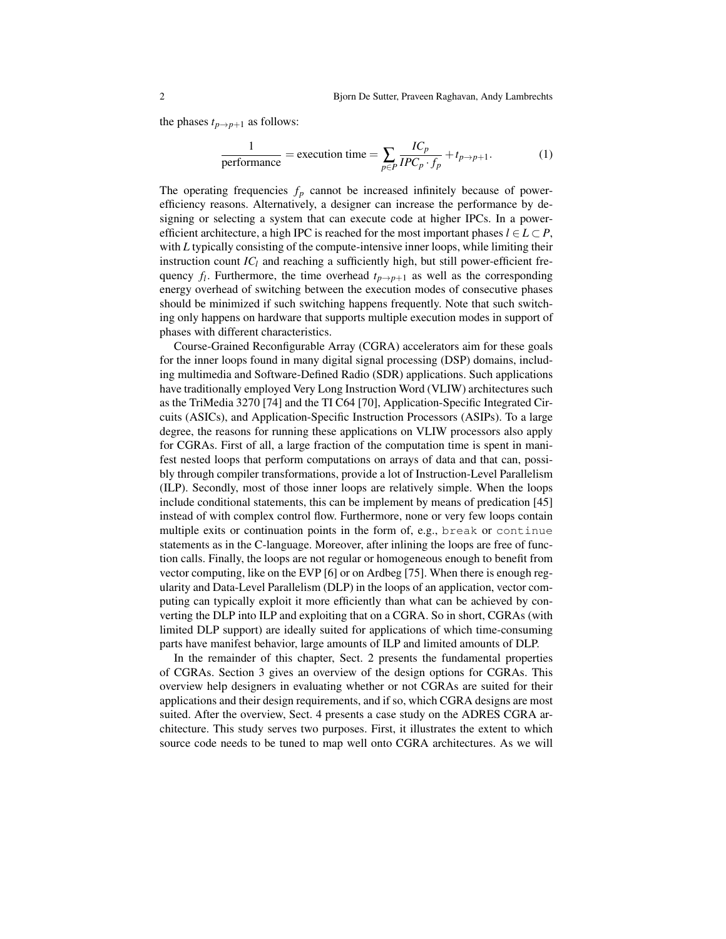the phases  $t_{p\to p+1}$  as follows:

$$
\frac{1}{\text{performance}} = \text{execution time} = \sum_{p \in P} \frac{IC_p}{IPC_p \cdot f_p} + t_{p \to p+1}.
$$
 (1)

The operating frequencies  $f_p$  cannot be increased infinitely because of powerefficiency reasons. Alternatively, a designer can increase the performance by designing or selecting a system that can execute code at higher IPCs. In a powerefficient architecture, a high IPC is reached for the most important phases  $l \in L \subset P$ , with *L* typically consisting of the compute-intensive inner loops, while limiting their instruction count  $IC_l$  and reaching a sufficiently high, but still power-efficient frequency  $f_l$ . Furthermore, the time overhead  $t_{p\to p+1}$  as well as the corresponding energy overhead of switching between the execution modes of consecutive phases should be minimized if such switching happens frequently. Note that such switching only happens on hardware that supports multiple execution modes in support of phases with different characteristics.

Course-Grained Reconfigurable Array (CGRA) accelerators aim for these goals for the inner loops found in many digital signal processing (DSP) domains, including multimedia and Software-Defined Radio (SDR) applications. Such applications have traditionally employed Very Long Instruction Word (VLIW) architectures such as the TriMedia 3270 [74] and the TI C64 [70], Application-Specific Integrated Circuits (ASICs), and Application-Specific Instruction Processors (ASIPs). To a large degree, the reasons for running these applications on VLIW processors also apply for CGRAs. First of all, a large fraction of the computation time is spent in manifest nested loops that perform computations on arrays of data and that can, possibly through compiler transformations, provide a lot of Instruction-Level Parallelism (ILP). Secondly, most of those inner loops are relatively simple. When the loops include conditional statements, this can be implement by means of predication [45] instead of with complex control flow. Furthermore, none or very few loops contain multiple exits or continuation points in the form of, e.g., break or continue statements as in the C-language. Moreover, after inlining the loops are free of function calls. Finally, the loops are not regular or homogeneous enough to benefit from vector computing, like on the EVP [6] or on Ardbeg [75]. When there is enough regularity and Data-Level Parallelism (DLP) in the loops of an application, vector computing can typically exploit it more efficiently than what can be achieved by converting the DLP into ILP and exploiting that on a CGRA. So in short, CGRAs (with limited DLP support) are ideally suited for applications of which time-consuming parts have manifest behavior, large amounts of ILP and limited amounts of DLP.

In the remainder of this chapter, Sect. 2 presents the fundamental properties of CGRAs. Section 3 gives an overview of the design options for CGRAs. This overview help designers in evaluating whether or not CGRAs are suited for their applications and their design requirements, and if so, which CGRA designs are most suited. After the overview, Sect. 4 presents a case study on the ADRES CGRA architecture. This study serves two purposes. First, it illustrates the extent to which source code needs to be tuned to map well onto CGRA architectures. As we will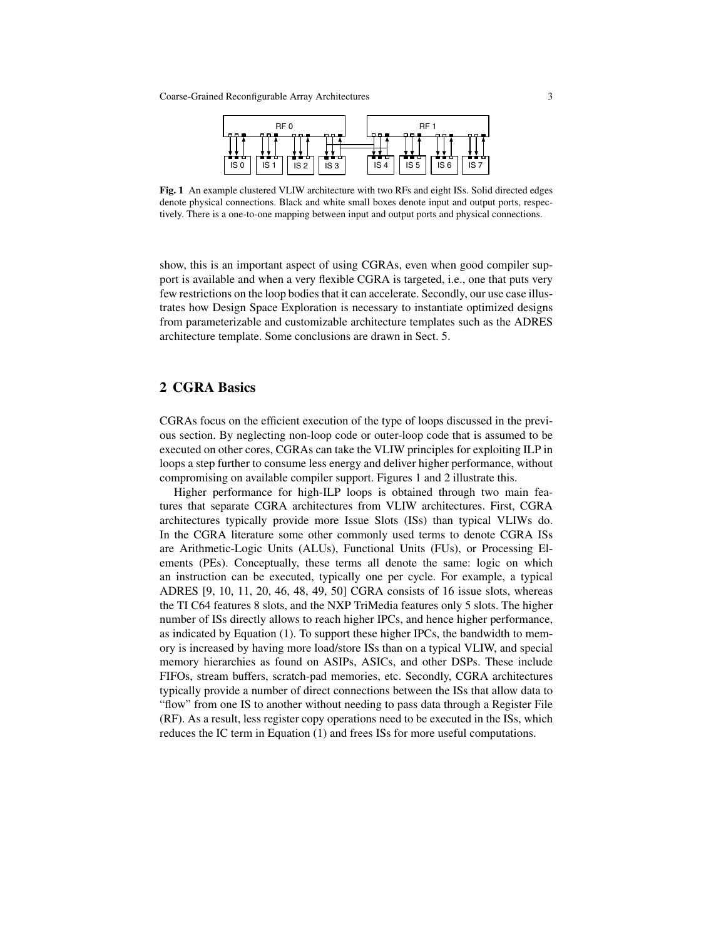| RF <sub>0</sub> |                   |                 |                 | RF <sub>1</sub><br><b>DD</b> |                 |                 |        |  |  |  |
|-----------------|-------------------|-----------------|-----------------|------------------------------|-----------------|-----------------|--------|--|--|--|
|                 | <b><u>nni</u></b> | 88 B B          | 88.L            |                              | .               | .               | 88 B J |  |  |  |
| IS <sub>0</sub> | IS 1              | IS <sub>2</sub> | IS <sub>3</sub> | IS <sub>4</sub>              | IS <sub>5</sub> | IS <sub>6</sub> | IS 7   |  |  |  |

Fig. 1 An example clustered VLIW architecture with two RFs and eight ISs. Solid directed edges denote physical connections. Black and white small boxes denote input and output ports, respectively. There is a one-to-one mapping between input and output ports and physical connections.

show, this is an important aspect of using CGRAs, even when good compiler support is available and when a very flexible CGRA is targeted, i.e., one that puts very few restrictions on the loop bodies that it can accelerate. Secondly, our use case illustrates how Design Space Exploration is necessary to instantiate optimized designs from parameterizable and customizable architecture templates such as the ADRES architecture template. Some conclusions are drawn in Sect. 5.

# 2 CGRA Basics

CGRAs focus on the efficient execution of the type of loops discussed in the previous section. By neglecting non-loop code or outer-loop code that is assumed to be executed on other cores, CGRAs can take the VLIW principles for exploiting ILP in loops a step further to consume less energy and deliver higher performance, without compromising on available compiler support. Figures 1 and 2 illustrate this.

Higher performance for high-ILP loops is obtained through two main features that separate CGRA architectures from VLIW architectures. First, CGRA architectures typically provide more Issue Slots (ISs) than typical VLIWs do. In the CGRA literature some other commonly used terms to denote CGRA ISs are Arithmetic-Logic Units (ALUs), Functional Units (FUs), or Processing Elements (PEs). Conceptually, these terms all denote the same: logic on which an instruction can be executed, typically one per cycle. For example, a typical ADRES [9, 10, 11, 20, 46, 48, 49, 50] CGRA consists of 16 issue slots, whereas the TI C64 features 8 slots, and the NXP TriMedia features only 5 slots. The higher number of ISs directly allows to reach higher IPCs, and hence higher performance, as indicated by Equation (1). To support these higher IPCs, the bandwidth to memory is increased by having more load/store ISs than on a typical VLIW, and special memory hierarchies as found on ASIPs, ASICs, and other DSPs. These include FIFOs, stream buffers, scratch-pad memories, etc. Secondly, CGRA architectures typically provide a number of direct connections between the ISs that allow data to "flow" from one IS to another without needing to pass data through a Register File (RF). As a result, less register copy operations need to be executed in the ISs, which reduces the IC term in Equation (1) and frees ISs for more useful computations.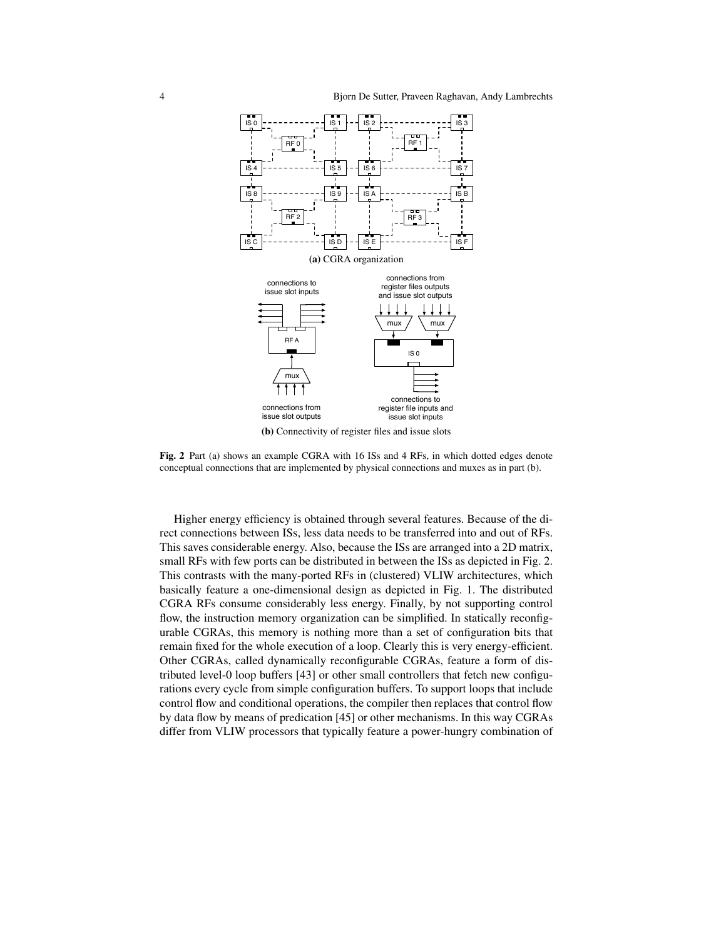

Fig. 2 Part (a) shows an example CGRA with 16 ISs and 4 RFs, in which dotted edges denote conceptual connections that are implemented by physical connections and muxes as in part (b).

Higher energy efficiency is obtained through several features. Because of the direct connections between ISs, less data needs to be transferred into and out of RFs. This saves considerable energy. Also, because the ISs are arranged into a 2D matrix, small RFs with few ports can be distributed in between the ISs as depicted in Fig. 2. This contrasts with the many-ported RFs in (clustered) VLIW architectures, which basically feature a one-dimensional design as depicted in Fig. 1. The distributed CGRA RFs consume considerably less energy. Finally, by not supporting control flow, the instruction memory organization can be simplified. In statically reconfigurable CGRAs, this memory is nothing more than a set of configuration bits that remain fixed for the whole execution of a loop. Clearly this is very energy-efficient. Other CGRAs, called dynamically reconfigurable CGRAs, feature a form of distributed level-0 loop buffers [43] or other small controllers that fetch new configurations every cycle from simple configuration buffers. To support loops that include control flow and conditional operations, the compiler then replaces that control flow by data flow by means of predication [45] or other mechanisms. In this way CGRAs differ from VLIW processors that typically feature a power-hungry combination of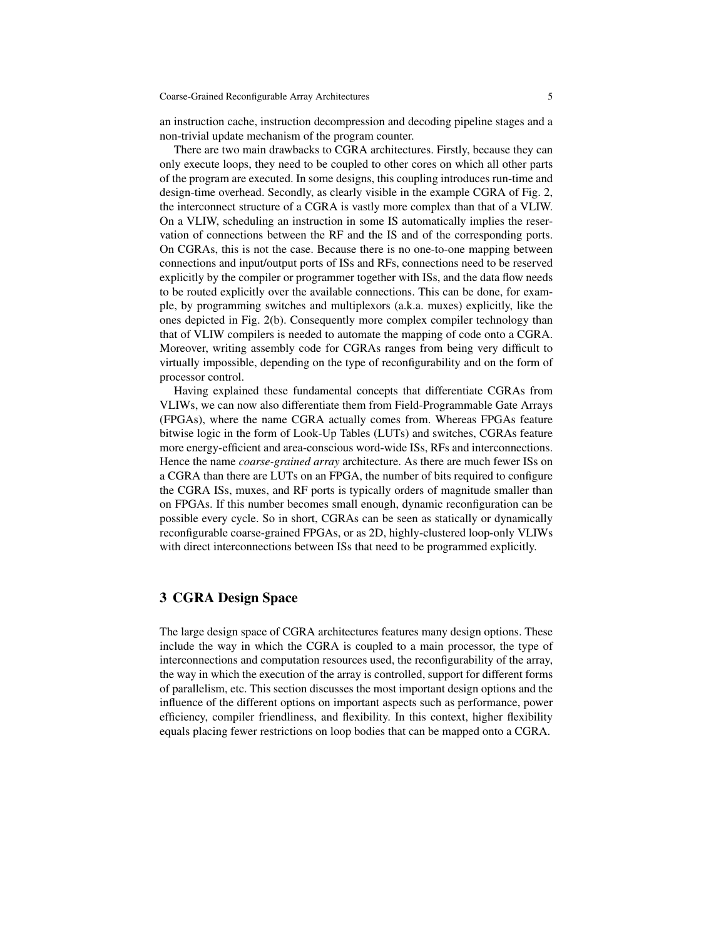an instruction cache, instruction decompression and decoding pipeline stages and a non-trivial update mechanism of the program counter.

There are two main drawbacks to CGRA architectures. Firstly, because they can only execute loops, they need to be coupled to other cores on which all other parts of the program are executed. In some designs, this coupling introduces run-time and design-time overhead. Secondly, as clearly visible in the example CGRA of Fig. 2, the interconnect structure of a CGRA is vastly more complex than that of a VLIW. On a VLIW, scheduling an instruction in some IS automatically implies the reservation of connections between the RF and the IS and of the corresponding ports. On CGRAs, this is not the case. Because there is no one-to-one mapping between connections and input/output ports of ISs and RFs, connections need to be reserved explicitly by the compiler or programmer together with ISs, and the data flow needs to be routed explicitly over the available connections. This can be done, for example, by programming switches and multiplexors (a.k.a. muxes) explicitly, like the ones depicted in Fig. 2(b). Consequently more complex compiler technology than that of VLIW compilers is needed to automate the mapping of code onto a CGRA. Moreover, writing assembly code for CGRAs ranges from being very difficult to virtually impossible, depending on the type of reconfigurability and on the form of processor control.

Having explained these fundamental concepts that differentiate CGRAs from VLIWs, we can now also differentiate them from Field-Programmable Gate Arrays (FPGAs), where the name CGRA actually comes from. Whereas FPGAs feature bitwise logic in the form of Look-Up Tables (LUTs) and switches, CGRAs feature more energy-efficient and area-conscious word-wide ISs, RFs and interconnections. Hence the name *coarse-grained array* architecture. As there are much fewer ISs on a CGRA than there are LUTs on an FPGA, the number of bits required to configure the CGRA ISs, muxes, and RF ports is typically orders of magnitude smaller than on FPGAs. If this number becomes small enough, dynamic reconfiguration can be possible every cycle. So in short, CGRAs can be seen as statically or dynamically reconfigurable coarse-grained FPGAs, or as 2D, highly-clustered loop-only VLIWs with direct interconnections between ISs that need to be programmed explicitly.

### 3 CGRA Design Space

The large design space of CGRA architectures features many design options. These include the way in which the CGRA is coupled to a main processor, the type of interconnections and computation resources used, the reconfigurability of the array, the way in which the execution of the array is controlled, support for different forms of parallelism, etc. This section discusses the most important design options and the influence of the different options on important aspects such as performance, power efficiency, compiler friendliness, and flexibility. In this context, higher flexibility equals placing fewer restrictions on loop bodies that can be mapped onto a CGRA.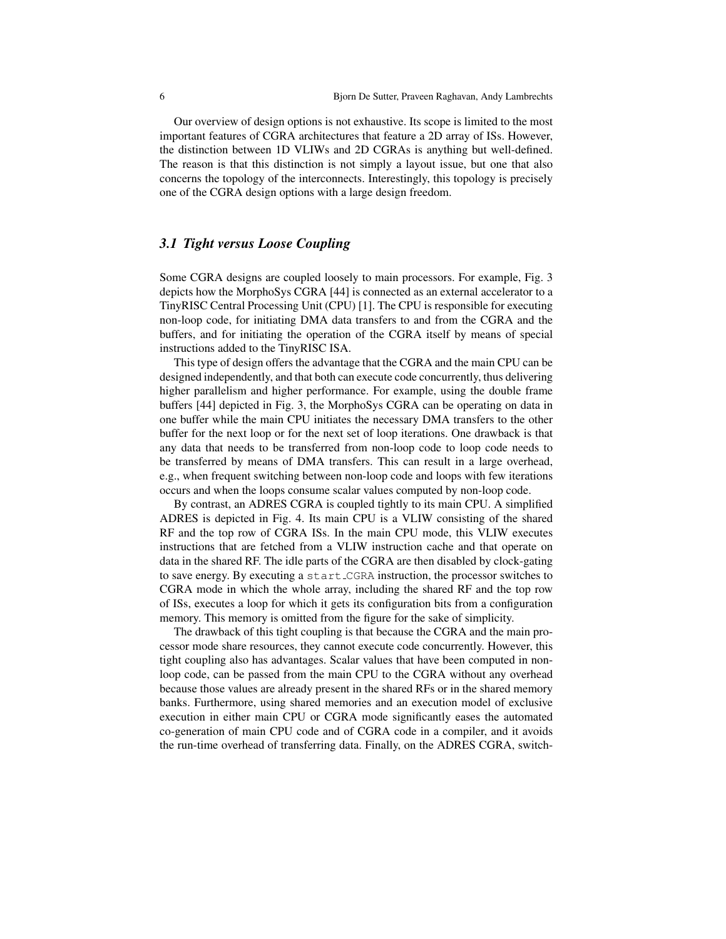Our overview of design options is not exhaustive. Its scope is limited to the most important features of CGRA architectures that feature a 2D array of ISs. However, the distinction between 1D VLIWs and 2D CGRAs is anything but well-defined. The reason is that this distinction is not simply a layout issue, but one that also concerns the topology of the interconnects. Interestingly, this topology is precisely one of the CGRA design options with a large design freedom.

# *3.1 Tight versus Loose Coupling*

Some CGRA designs are coupled loosely to main processors. For example, Fig. 3 depicts how the MorphoSys CGRA [44] is connected as an external accelerator to a TinyRISC Central Processing Unit (CPU) [1]. The CPU is responsible for executing non-loop code, for initiating DMA data transfers to and from the CGRA and the buffers, and for initiating the operation of the CGRA itself by means of special instructions added to the TinyRISC ISA.

This type of design offers the advantage that the CGRA and the main CPU can be designed independently, and that both can execute code concurrently, thus delivering higher parallelism and higher performance. For example, using the double frame buffers [44] depicted in Fig. 3, the MorphoSys CGRA can be operating on data in one buffer while the main CPU initiates the necessary DMA transfers to the other buffer for the next loop or for the next set of loop iterations. One drawback is that any data that needs to be transferred from non-loop code to loop code needs to be transferred by means of DMA transfers. This can result in a large overhead, e.g., when frequent switching between non-loop code and loops with few iterations occurs and when the loops consume scalar values computed by non-loop code.

By contrast, an ADRES CGRA is coupled tightly to its main CPU. A simplified ADRES is depicted in Fig. 4. Its main CPU is a VLIW consisting of the shared RF and the top row of CGRA ISs. In the main CPU mode, this VLIW executes instructions that are fetched from a VLIW instruction cache and that operate on data in the shared RF. The idle parts of the CGRA are then disabled by clock-gating to save energy. By executing a start CGRA instruction, the processor switches to CGRA mode in which the whole array, including the shared RF and the top row of ISs, executes a loop for which it gets its configuration bits from a configuration memory. This memory is omitted from the figure for the sake of simplicity.

The drawback of this tight coupling is that because the CGRA and the main processor mode share resources, they cannot execute code concurrently. However, this tight coupling also has advantages. Scalar values that have been computed in nonloop code, can be passed from the main CPU to the CGRA without any overhead because those values are already present in the shared RFs or in the shared memory banks. Furthermore, using shared memories and an execution model of exclusive execution in either main CPU or CGRA mode significantly eases the automated co-generation of main CPU code and of CGRA code in a compiler, and it avoids the run-time overhead of transferring data. Finally, on the ADRES CGRA, switch-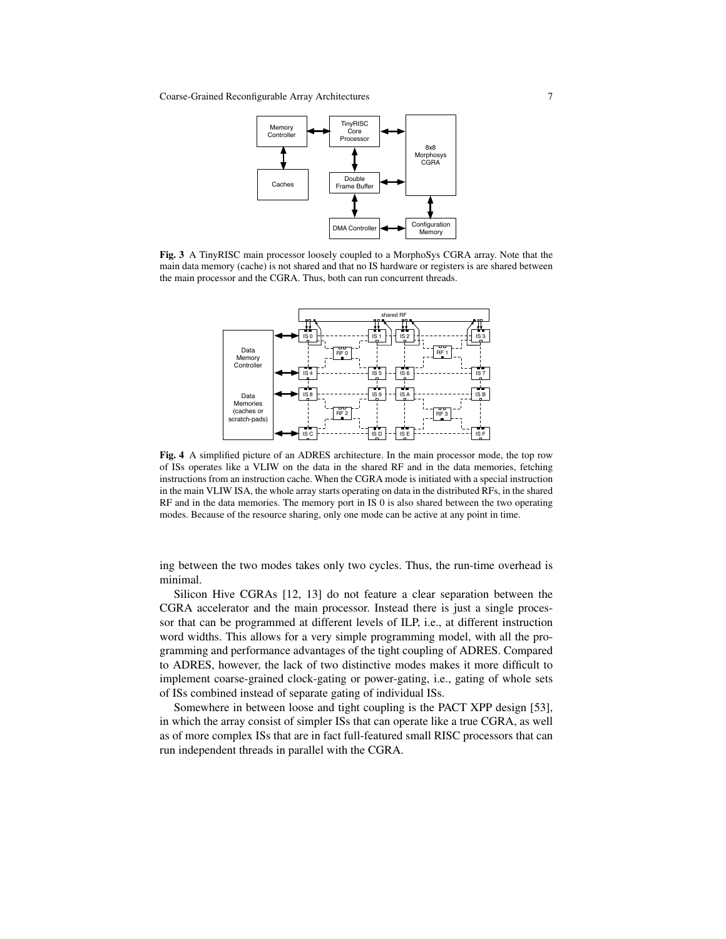

Fig. 3 A TinyRISC main processor loosely coupled to a MorphoSys CGRA array. Note that the main data memory (cache) is not shared and that no IS hardware or registers is are shared between the main processor and the CGRA. Thus, both can run concurrent threads.



Fig. 4 A simplified picture of an ADRES architecture. In the main processor mode, the top row of ISs operates like a VLIW on the data in the shared RF and in the data memories, fetching instructions from an instruction cache. When the CGRA mode is initiated with a special instruction in the main VLIW ISA, the whole array starts operating on data in the distributed RFs, in the shared RF and in the data memories. The memory port in IS 0 is also shared between the two operating modes. Because of the resource sharing, only one mode can be active at any point in time.

ing between the two modes takes only two cycles. Thus, the run-time overhead is minimal.

Silicon Hive CGRAs [12, 13] do not feature a clear separation between the CGRA accelerator and the main processor. Instead there is just a single processor that can be programmed at different levels of ILP, i.e., at different instruction word widths. This allows for a very simple programming model, with all the programming and performance advantages of the tight coupling of ADRES. Compared to ADRES, however, the lack of two distinctive modes makes it more difficult to implement coarse-grained clock-gating or power-gating, i.e., gating of whole sets of ISs combined instead of separate gating of individual ISs.

Somewhere in between loose and tight coupling is the PACT XPP design [53], in which the array consist of simpler ISs that can operate like a true CGRA, as well as of more complex ISs that are in fact full-featured small RISC processors that can run independent threads in parallel with the CGRA.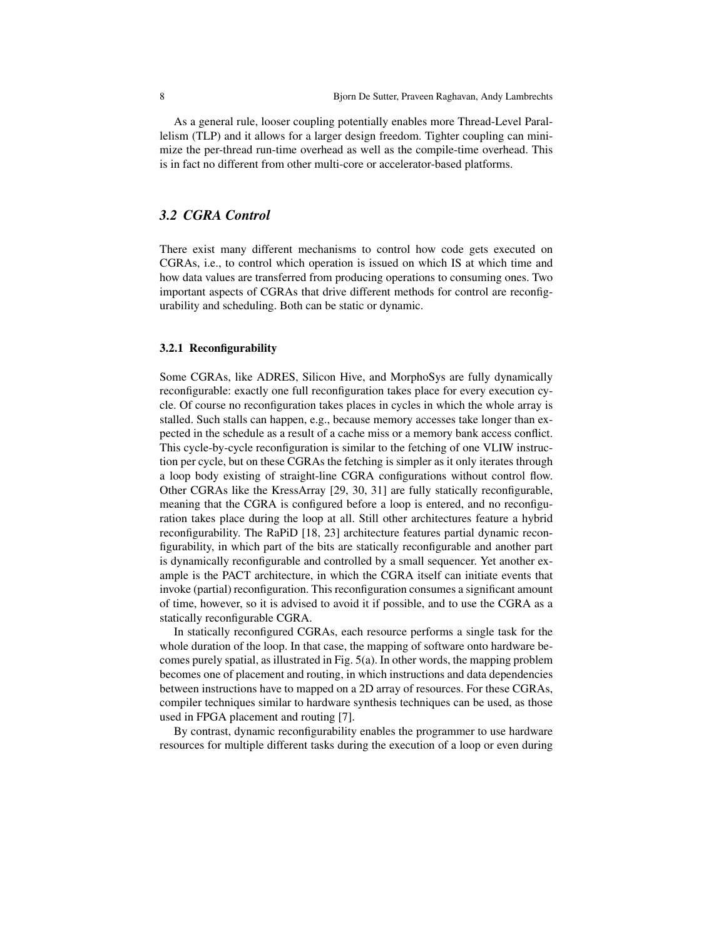As a general rule, looser coupling potentially enables more Thread-Level Parallelism (TLP) and it allows for a larger design freedom. Tighter coupling can minimize the per-thread run-time overhead as well as the compile-time overhead. This is in fact no different from other multi-core or accelerator-based platforms.

# *3.2 CGRA Control*

There exist many different mechanisms to control how code gets executed on CGRAs, i.e., to control which operation is issued on which IS at which time and how data values are transferred from producing operations to consuming ones. Two important aspects of CGRAs that drive different methods for control are reconfigurability and scheduling. Both can be static or dynamic.

### 3.2.1 Reconfigurability

Some CGRAs, like ADRES, Silicon Hive, and MorphoSys are fully dynamically reconfigurable: exactly one full reconfiguration takes place for every execution cycle. Of course no reconfiguration takes places in cycles in which the whole array is stalled. Such stalls can happen, e.g., because memory accesses take longer than expected in the schedule as a result of a cache miss or a memory bank access conflict. This cycle-by-cycle reconfiguration is similar to the fetching of one VLIW instruction per cycle, but on these CGRAs the fetching is simpler as it only iterates through a loop body existing of straight-line CGRA configurations without control flow. Other CGRAs like the KressArray [29, 30, 31] are fully statically reconfigurable, meaning that the CGRA is configured before a loop is entered, and no reconfiguration takes place during the loop at all. Still other architectures feature a hybrid reconfigurability. The RaPiD [18, 23] architecture features partial dynamic reconfigurability, in which part of the bits are statically reconfigurable and another part is dynamically reconfigurable and controlled by a small sequencer. Yet another example is the PACT architecture, in which the CGRA itself can initiate events that invoke (partial) reconfiguration. This reconfiguration consumes a significant amount of time, however, so it is advised to avoid it if possible, and to use the CGRA as a statically reconfigurable CGRA.

In statically reconfigured CGRAs, each resource performs a single task for the whole duration of the loop. In that case, the mapping of software onto hardware becomes purely spatial, as illustrated in Fig. 5(a). In other words, the mapping problem becomes one of placement and routing, in which instructions and data dependencies between instructions have to mapped on a 2D array of resources. For these CGRAs, compiler techniques similar to hardware synthesis techniques can be used, as those used in FPGA placement and routing [7].

By contrast, dynamic reconfigurability enables the programmer to use hardware resources for multiple different tasks during the execution of a loop or even during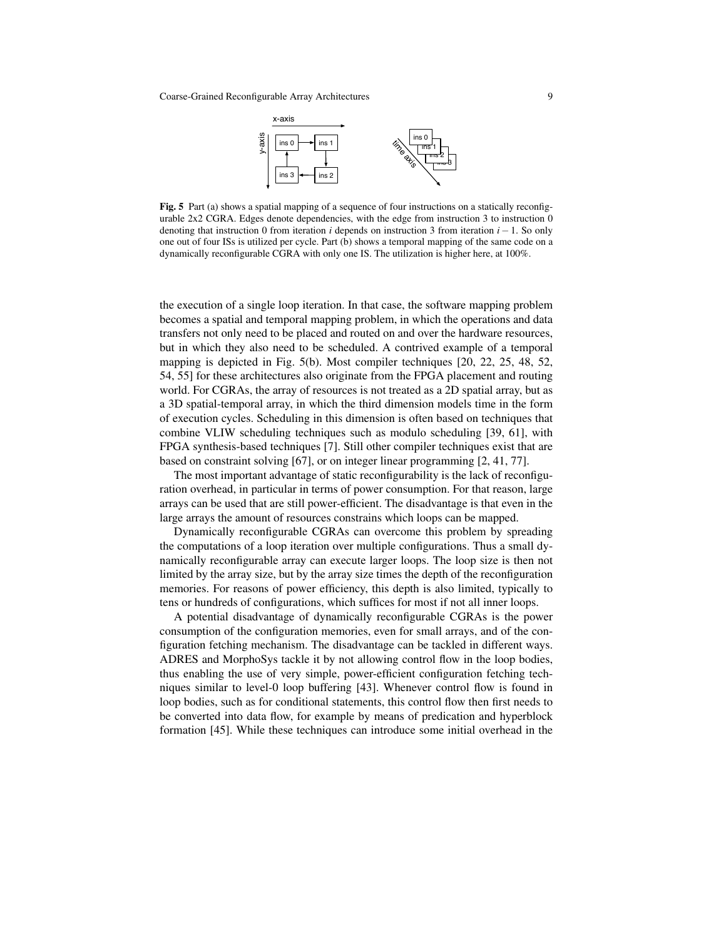

Fig. 5 Part (a) shows a spatial mapping of a sequence of four instructions on a statically reconfigurable 2x2 CGRA. Edges denote dependencies, with the edge from instruction 3 to instruction 0 denoting that instruction 0 from iteration *i* depends on instruction 3 from iteration *i* − 1. So only one out of four ISs is utilized per cycle. Part (b) shows a temporal mapping of the same code on a dynamically reconfigurable CGRA with only one IS. The utilization is higher here, at 100%.

the execution of a single loop iteration. In that case, the software mapping problem becomes a spatial and temporal mapping problem, in which the operations and data transfers not only need to be placed and routed on and over the hardware resources, but in which they also need to be scheduled. A contrived example of a temporal mapping is depicted in Fig. 5(b). Most compiler techniques [20, 22, 25, 48, 52, 54, 55] for these architectures also originate from the FPGA placement and routing world. For CGRAs, the array of resources is not treated as a 2D spatial array, but as a 3D spatial-temporal array, in which the third dimension models time in the form of execution cycles. Scheduling in this dimension is often based on techniques that combine VLIW scheduling techniques such as modulo scheduling [39, 61], with FPGA synthesis-based techniques [7]. Still other compiler techniques exist that are based on constraint solving [67], or on integer linear programming [2, 41, 77].

The most important advantage of static reconfigurability is the lack of reconfiguration overhead, in particular in terms of power consumption. For that reason, large arrays can be used that are still power-efficient. The disadvantage is that even in the large arrays the amount of resources constrains which loops can be mapped.

Dynamically reconfigurable CGRAs can overcome this problem by spreading the computations of a loop iteration over multiple configurations. Thus a small dynamically reconfigurable array can execute larger loops. The loop size is then not limited by the array size, but by the array size times the depth of the reconfiguration memories. For reasons of power efficiency, this depth is also limited, typically to tens or hundreds of configurations, which suffices for most if not all inner loops.

A potential disadvantage of dynamically reconfigurable CGRAs is the power consumption of the configuration memories, even for small arrays, and of the configuration fetching mechanism. The disadvantage can be tackled in different ways. ADRES and MorphoSys tackle it by not allowing control flow in the loop bodies, thus enabling the use of very simple, power-efficient configuration fetching techniques similar to level-0 loop buffering [43]. Whenever control flow is found in loop bodies, such as for conditional statements, this control flow then first needs to be converted into data flow, for example by means of predication and hyperblock formation [45]. While these techniques can introduce some initial overhead in the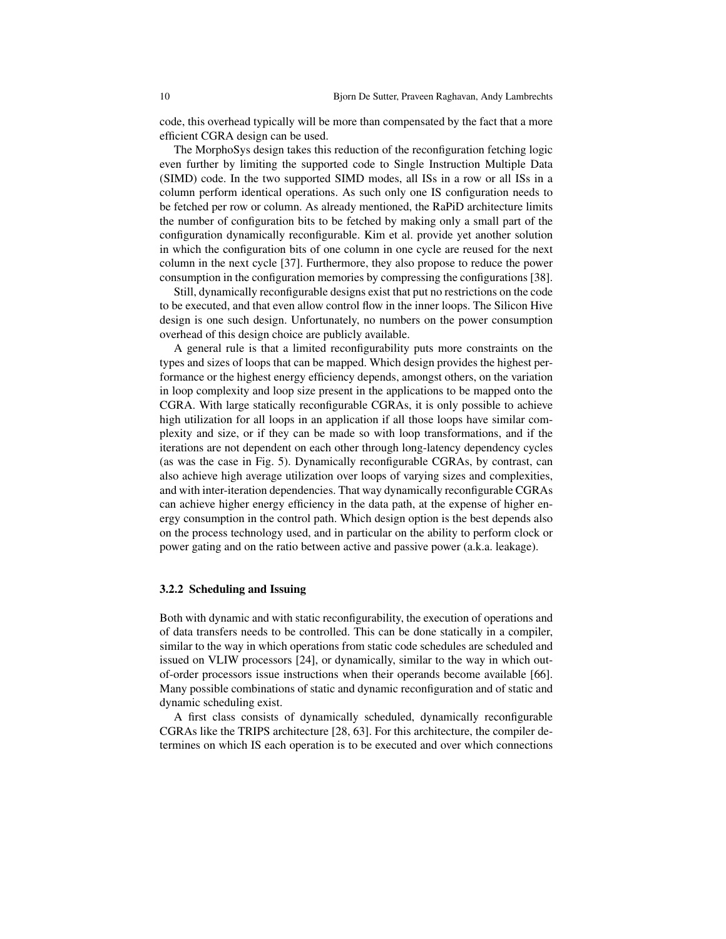code, this overhead typically will be more than compensated by the fact that a more efficient CGRA design can be used.

The MorphoSys design takes this reduction of the reconfiguration fetching logic even further by limiting the supported code to Single Instruction Multiple Data (SIMD) code. In the two supported SIMD modes, all ISs in a row or all ISs in a column perform identical operations. As such only one IS configuration needs to be fetched per row or column. As already mentioned, the RaPiD architecture limits the number of configuration bits to be fetched by making only a small part of the configuration dynamically reconfigurable. Kim et al. provide yet another solution in which the configuration bits of one column in one cycle are reused for the next column in the next cycle [37]. Furthermore, they also propose to reduce the power consumption in the configuration memories by compressing the configurations [38].

Still, dynamically reconfigurable designs exist that put no restrictions on the code to be executed, and that even allow control flow in the inner loops. The Silicon Hive design is one such design. Unfortunately, no numbers on the power consumption overhead of this design choice are publicly available.

A general rule is that a limited reconfigurability puts more constraints on the types and sizes of loops that can be mapped. Which design provides the highest performance or the highest energy efficiency depends, amongst others, on the variation in loop complexity and loop size present in the applications to be mapped onto the CGRA. With large statically reconfigurable CGRAs, it is only possible to achieve high utilization for all loops in an application if all those loops have similar complexity and size, or if they can be made so with loop transformations, and if the iterations are not dependent on each other through long-latency dependency cycles (as was the case in Fig. 5). Dynamically reconfigurable CGRAs, by contrast, can also achieve high average utilization over loops of varying sizes and complexities, and with inter-iteration dependencies. That way dynamically reconfigurable CGRAs can achieve higher energy efficiency in the data path, at the expense of higher energy consumption in the control path. Which design option is the best depends also on the process technology used, and in particular on the ability to perform clock or power gating and on the ratio between active and passive power (a.k.a. leakage).

### 3.2.2 Scheduling and Issuing

Both with dynamic and with static reconfigurability, the execution of operations and of data transfers needs to be controlled. This can be done statically in a compiler, similar to the way in which operations from static code schedules are scheduled and issued on VLIW processors [24], or dynamically, similar to the way in which outof-order processors issue instructions when their operands become available [66]. Many possible combinations of static and dynamic reconfiguration and of static and dynamic scheduling exist.

A first class consists of dynamically scheduled, dynamically reconfigurable CGRAs like the TRIPS architecture [28, 63]. For this architecture, the compiler determines on which IS each operation is to be executed and over which connections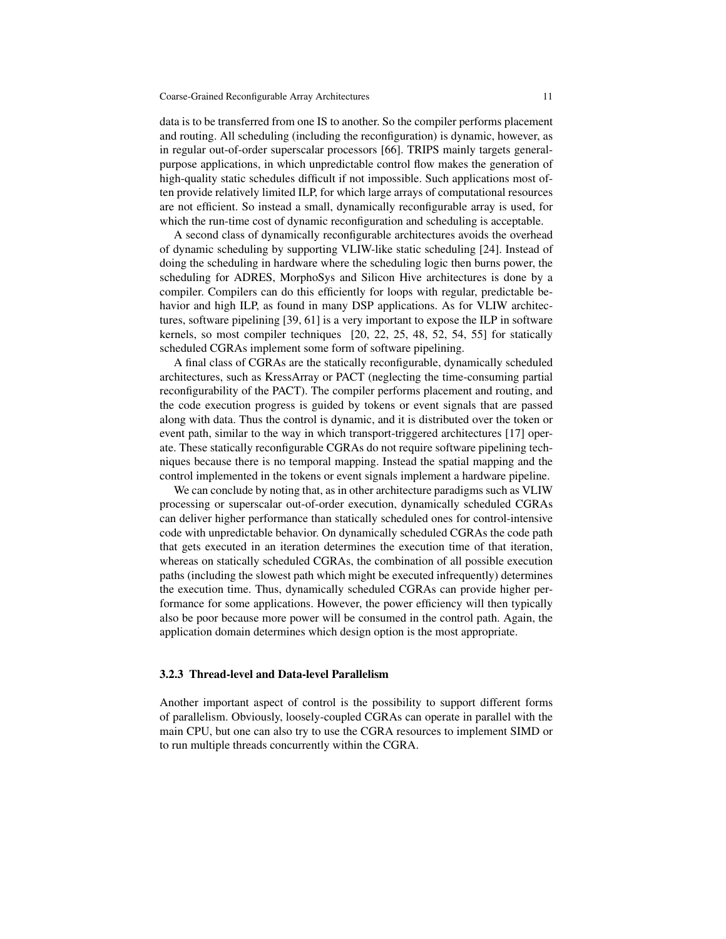data is to be transferred from one IS to another. So the compiler performs placement and routing. All scheduling (including the reconfiguration) is dynamic, however, as in regular out-of-order superscalar processors [66]. TRIPS mainly targets generalpurpose applications, in which unpredictable control flow makes the generation of high-quality static schedules difficult if not impossible. Such applications most often provide relatively limited ILP, for which large arrays of computational resources are not efficient. So instead a small, dynamically reconfigurable array is used, for which the run-time cost of dynamic reconfiguration and scheduling is acceptable.

A second class of dynamically reconfigurable architectures avoids the overhead of dynamic scheduling by supporting VLIW-like static scheduling [24]. Instead of doing the scheduling in hardware where the scheduling logic then burns power, the scheduling for ADRES, MorphoSys and Silicon Hive architectures is done by a compiler. Compilers can do this efficiently for loops with regular, predictable behavior and high ILP, as found in many DSP applications. As for VLIW architectures, software pipelining [39, 61] is a very important to expose the ILP in software kernels, so most compiler techniques [20, 22, 25, 48, 52, 54, 55] for statically scheduled CGRAs implement some form of software pipelining.

A final class of CGRAs are the statically reconfigurable, dynamically scheduled architectures, such as KressArray or PACT (neglecting the time-consuming partial reconfigurability of the PACT). The compiler performs placement and routing, and the code execution progress is guided by tokens or event signals that are passed along with data. Thus the control is dynamic, and it is distributed over the token or event path, similar to the way in which transport-triggered architectures [17] operate. These statically reconfigurable CGRAs do not require software pipelining techniques because there is no temporal mapping. Instead the spatial mapping and the control implemented in the tokens or event signals implement a hardware pipeline.

We can conclude by noting that, as in other architecture paradigms such as VLIW processing or superscalar out-of-order execution, dynamically scheduled CGRAs can deliver higher performance than statically scheduled ones for control-intensive code with unpredictable behavior. On dynamically scheduled CGRAs the code path that gets executed in an iteration determines the execution time of that iteration, whereas on statically scheduled CGRAs, the combination of all possible execution paths (including the slowest path which might be executed infrequently) determines the execution time. Thus, dynamically scheduled CGRAs can provide higher performance for some applications. However, the power efficiency will then typically also be poor because more power will be consumed in the control path. Again, the application domain determines which design option is the most appropriate.

#### 3.2.3 Thread-level and Data-level Parallelism

Another important aspect of control is the possibility to support different forms of parallelism. Obviously, loosely-coupled CGRAs can operate in parallel with the main CPU, but one can also try to use the CGRA resources to implement SIMD or to run multiple threads concurrently within the CGRA.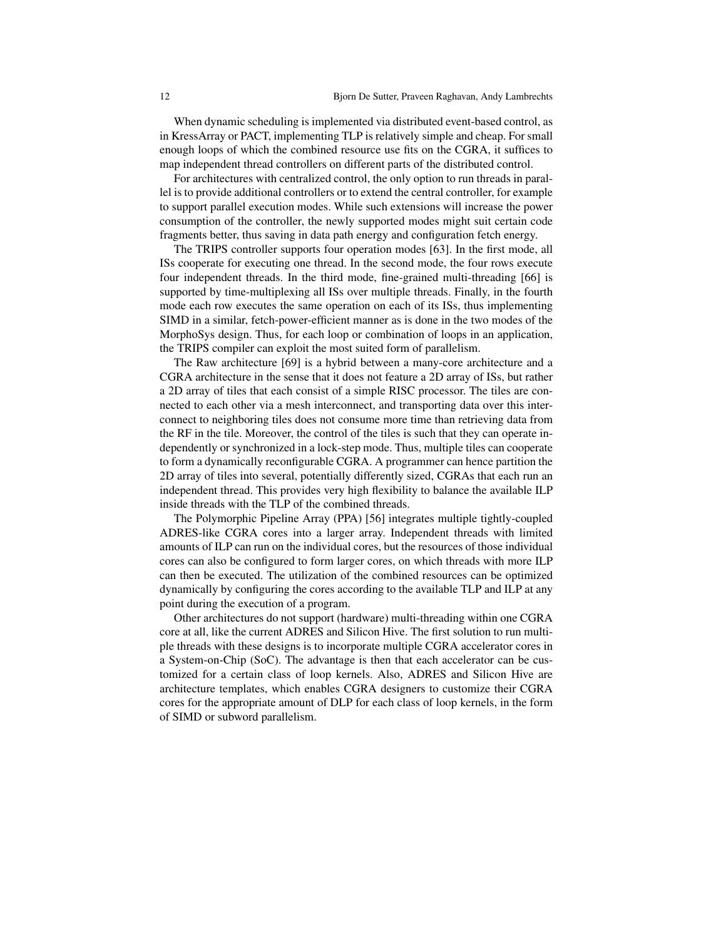When dynamic scheduling is implemented via distributed event-based control, as in KressArray or PACT, implementing TLP is relatively simple and cheap. For small enough loops of which the combined resource use fits on the CGRA, it suffices to map independent thread controllers on different parts of the distributed control.

For architectures with centralized control, the only option to run threads in parallel is to provide additional controllers or to extend the central controller, for example to support parallel execution modes. While such extensions will increase the power consumption of the controller, the newly supported modes might suit certain code fragments better, thus saving in data path energy and configuration fetch energy.

The TRIPS controller supports four operation modes [63]. In the first mode, all ISs cooperate for executing one thread. In the second mode, the four rows execute four independent threads. In the third mode, fine-grained multi-threading [66] is supported by time-multiplexing all ISs over multiple threads. Finally, in the fourth mode each row executes the same operation on each of its ISs, thus implementing SIMD in a similar, fetch-power-efficient manner as is done in the two modes of the MorphoSys design. Thus, for each loop or combination of loops in an application, the TRIPS compiler can exploit the most suited form of parallelism.

The Raw architecture [69] is a hybrid between a many-core architecture and a CGRA architecture in the sense that it does not feature a 2D array of ISs, but rather a 2D array of tiles that each consist of a simple RISC processor. The tiles are connected to each other via a mesh interconnect, and transporting data over this interconnect to neighboring tiles does not consume more time than retrieving data from the RF in the tile. Moreover, the control of the tiles is such that they can operate independently or synchronized in a lock-step mode. Thus, multiple tiles can cooperate to form a dynamically reconfigurable CGRA. A programmer can hence partition the 2D array of tiles into several, potentially differently sized, CGRAs that each run an independent thread. This provides very high flexibility to balance the available ILP inside threads with the TLP of the combined threads.

The Polymorphic Pipeline Array (PPA) [56] integrates multiple tightly-coupled ADRES-like CGRA cores into a larger array. Independent threads with limited amounts of ILP can run on the individual cores, but the resources of those individual cores can also be configured to form larger cores, on which threads with more ILP can then be executed. The utilization of the combined resources can be optimized dynamically by configuring the cores according to the available TLP and ILP at any point during the execution of a program.

Other architectures do not support (hardware) multi-threading within one CGRA core at all, like the current ADRES and Silicon Hive. The first solution to run multiple threads with these designs is to incorporate multiple CGRA accelerator cores in a System-on-Chip (SoC). The advantage is then that each accelerator can be customized for a certain class of loop kernels. Also, ADRES and Silicon Hive are architecture templates, which enables CGRA designers to customize their CGRA cores for the appropriate amount of DLP for each class of loop kernels, in the form of SIMD or subword parallelism.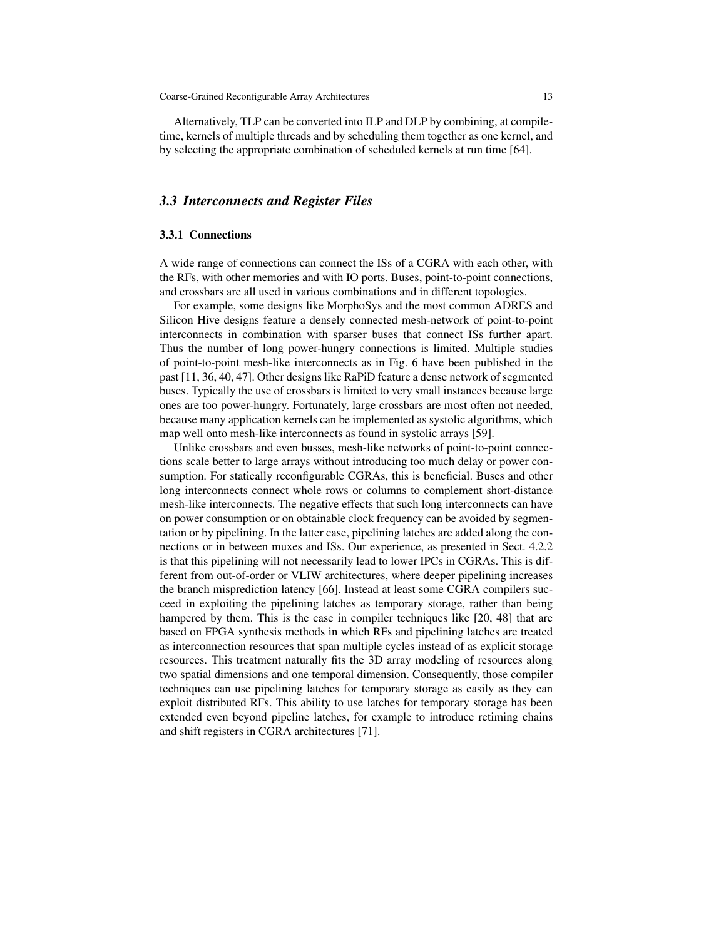Alternatively, TLP can be converted into ILP and DLP by combining, at compiletime, kernels of multiple threads and by scheduling them together as one kernel, and by selecting the appropriate combination of scheduled kernels at run time [64].

# *3.3 Interconnects and Register Files*

### 3.3.1 Connections

A wide range of connections can connect the ISs of a CGRA with each other, with the RFs, with other memories and with IO ports. Buses, point-to-point connections, and crossbars are all used in various combinations and in different topologies.

For example, some designs like MorphoSys and the most common ADRES and Silicon Hive designs feature a densely connected mesh-network of point-to-point interconnects in combination with sparser buses that connect ISs further apart. Thus the number of long power-hungry connections is limited. Multiple studies of point-to-point mesh-like interconnects as in Fig. 6 have been published in the past [11, 36, 40, 47]. Other designs like RaPiD feature a dense network of segmented buses. Typically the use of crossbars is limited to very small instances because large ones are too power-hungry. Fortunately, large crossbars are most often not needed, because many application kernels can be implemented as systolic algorithms, which map well onto mesh-like interconnects as found in systolic arrays [59].

Unlike crossbars and even busses, mesh-like networks of point-to-point connections scale better to large arrays without introducing too much delay or power consumption. For statically reconfigurable CGRAs, this is beneficial. Buses and other long interconnects connect whole rows or columns to complement short-distance mesh-like interconnects. The negative effects that such long interconnects can have on power consumption or on obtainable clock frequency can be avoided by segmentation or by pipelining. In the latter case, pipelining latches are added along the connections or in between muxes and ISs. Our experience, as presented in Sect. 4.2.2 is that this pipelining will not necessarily lead to lower IPCs in CGRAs. This is different from out-of-order or VLIW architectures, where deeper pipelining increases the branch misprediction latency [66]. Instead at least some CGRA compilers succeed in exploiting the pipelining latches as temporary storage, rather than being hampered by them. This is the case in compiler techniques like [20, 48] that are based on FPGA synthesis methods in which RFs and pipelining latches are treated as interconnection resources that span multiple cycles instead of as explicit storage resources. This treatment naturally fits the 3D array modeling of resources along two spatial dimensions and one temporal dimension. Consequently, those compiler techniques can use pipelining latches for temporary storage as easily as they can exploit distributed RFs. This ability to use latches for temporary storage has been extended even beyond pipeline latches, for example to introduce retiming chains and shift registers in CGRA architectures [71].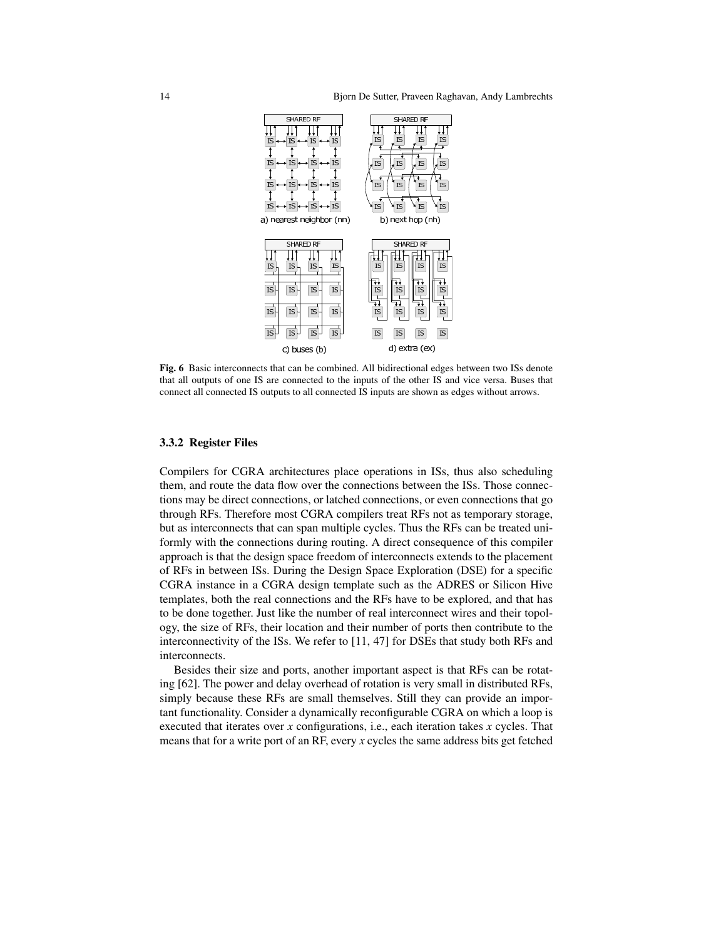

Fig. 6 Basic interconnects that can be combined. All bidirectional edges between two ISs denote that all outputs of one IS are connected to the inputs of the other IS and vice versa. Buses that connect all connected IS outputs to all connected IS inputs are shown as edges without arrows.

#### 3.3.2 Register Files

Compilers for CGRA architectures place operations in ISs, thus also scheduling them, and route the data flow over the connections between the ISs. Those connections may be direct connections, or latched connections, or even connections that go through RFs. Therefore most CGRA compilers treat RFs not as temporary storage, but as interconnects that can span multiple cycles. Thus the RFs can be treated uniformly with the connections during routing. A direct consequence of this compiler approach is that the design space freedom of interconnects extends to the placement of RFs in between ISs. During the Design Space Exploration (DSE) for a specific CGRA instance in a CGRA design template such as the ADRES or Silicon Hive templates, both the real connections and the RFs have to be explored, and that has to be done together. Just like the number of real interconnect wires and their topology, the size of RFs, their location and their number of ports then contribute to the interconnectivity of the ISs. We refer to [11, 47] for DSEs that study both RFs and interconnects.

Besides their size and ports, another important aspect is that RFs can be rotating [62]. The power and delay overhead of rotation is very small in distributed RFs, simply because these RFs are small themselves. Still they can provide an important functionality. Consider a dynamically reconfigurable CGRA on which a loop is executed that iterates over *x* configurations, i.e., each iteration takes *x* cycles. That means that for a write port of an RF, every *x* cycles the same address bits get fetched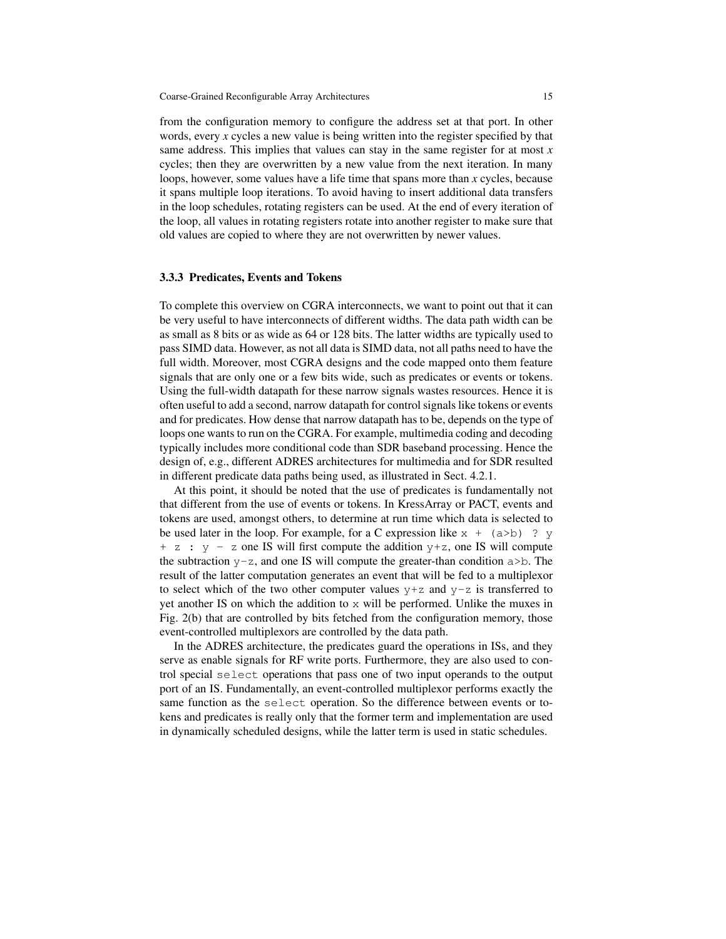from the configuration memory to configure the address set at that port. In other words, every *x* cycles a new value is being written into the register specified by that same address. This implies that values can stay in the same register for at most *x* cycles; then they are overwritten by a new value from the next iteration. In many loops, however, some values have a life time that spans more than *x* cycles, because it spans multiple loop iterations. To avoid having to insert additional data transfers in the loop schedules, rotating registers can be used. At the end of every iteration of the loop, all values in rotating registers rotate into another register to make sure that old values are copied to where they are not overwritten by newer values.

### 3.3.3 Predicates, Events and Tokens

To complete this overview on CGRA interconnects, we want to point out that it can be very useful to have interconnects of different widths. The data path width can be as small as 8 bits or as wide as 64 or 128 bits. The latter widths are typically used to pass SIMD data. However, as not all data is SIMD data, not all paths need to have the full width. Moreover, most CGRA designs and the code mapped onto them feature signals that are only one or a few bits wide, such as predicates or events or tokens. Using the full-width datapath for these narrow signals wastes resources. Hence it is often useful to add a second, narrow datapath for control signals like tokens or events and for predicates. How dense that narrow datapath has to be, depends on the type of loops one wants to run on the CGRA. For example, multimedia coding and decoding typically includes more conditional code than SDR baseband processing. Hence the design of, e.g., different ADRES architectures for multimedia and for SDR resulted in different predicate data paths being used, as illustrated in Sect. 4.2.1.

At this point, it should be noted that the use of predicates is fundamentally not that different from the use of events or tokens. In KressArray or PACT, events and tokens are used, amongst others, to determine at run time which data is selected to be used later in the loop. For example, for a C expression like  $x + (a>b)$  ? y  $+ z$  : y - z one IS will first compute the addition y+z, one IS will compute the subtraction  $y-z$ , and one IS will compute the greater-than condition  $a>b$ . The result of the latter computation generates an event that will be fed to a multiplexor to select which of the two other computer values  $y + z$  and  $y - z$  is transferred to yet another IS on which the addition to  $\times$  will be performed. Unlike the muxes in Fig. 2(b) that are controlled by bits fetched from the configuration memory, those event-controlled multiplexors are controlled by the data path.

In the ADRES architecture, the predicates guard the operations in ISs, and they serve as enable signals for RF write ports. Furthermore, they are also used to control special select operations that pass one of two input operands to the output port of an IS. Fundamentally, an event-controlled multiplexor performs exactly the same function as the select operation. So the difference between events or tokens and predicates is really only that the former term and implementation are used in dynamically scheduled designs, while the latter term is used in static schedules.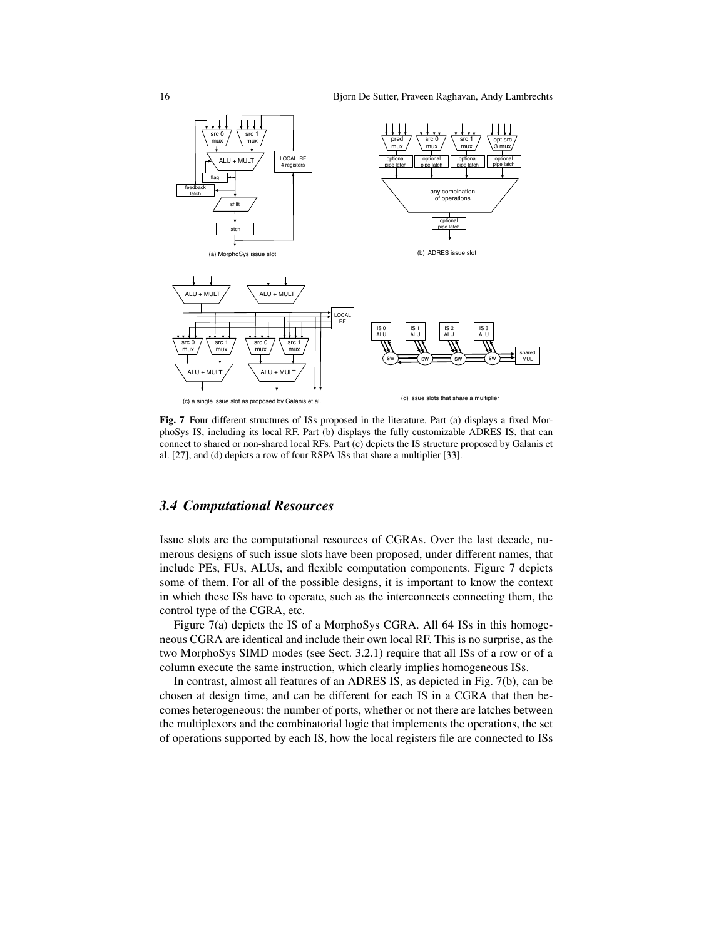

Fig. 7 Four different structures of ISs proposed in the literature. Part (a) displays a fixed MorphoSys IS, including its local RF. Part (b) displays the fully customizable ADRES IS, that can connect to shared or non-shared local RFs. Part (c) depicts the IS structure proposed by Galanis et al. [27], and (d) depicts a row of four RSPA ISs that share a multiplier [33].

# *3.4 Computational Resources*

Issue slots are the computational resources of CGRAs. Over the last decade, numerous designs of such issue slots have been proposed, under different names, that include PEs, FUs, ALUs, and flexible computation components. Figure 7 depicts some of them. For all of the possible designs, it is important to know the context in which these ISs have to operate, such as the interconnects connecting them, the control type of the CGRA, etc.

Figure 7(a) depicts the IS of a MorphoSys CGRA. All 64 ISs in this homogeneous CGRA are identical and include their own local RF. This is no surprise, as the two MorphoSys SIMD modes (see Sect. 3.2.1) require that all ISs of a row or of a column execute the same instruction, which clearly implies homogeneous ISs.

In contrast, almost all features of an ADRES IS, as depicted in Fig. 7(b), can be chosen at design time, and can be different for each IS in a CGRA that then becomes heterogeneous: the number of ports, whether or not there are latches between the multiplexors and the combinatorial logic that implements the operations, the set of operations supported by each IS, how the local registers file are connected to ISs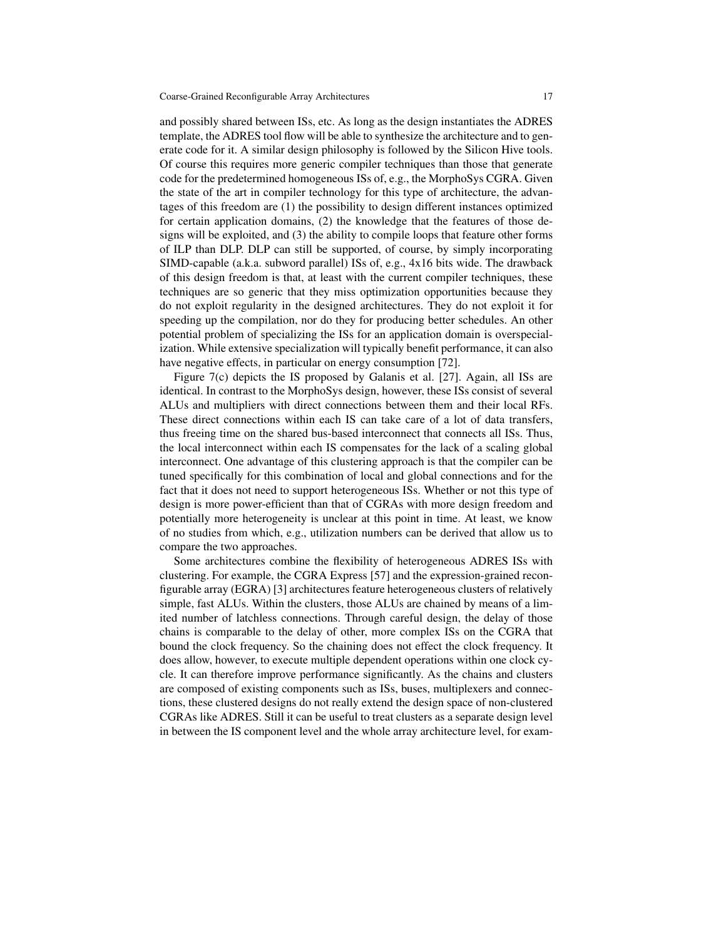and possibly shared between ISs, etc. As long as the design instantiates the ADRES template, the ADRES tool flow will be able to synthesize the architecture and to generate code for it. A similar design philosophy is followed by the Silicon Hive tools. Of course this requires more generic compiler techniques than those that generate code for the predetermined homogeneous ISs of, e.g., the MorphoSys CGRA. Given the state of the art in compiler technology for this type of architecture, the advantages of this freedom are (1) the possibility to design different instances optimized for certain application domains, (2) the knowledge that the features of those designs will be exploited, and (3) the ability to compile loops that feature other forms of ILP than DLP. DLP can still be supported, of course, by simply incorporating SIMD-capable (a.k.a. subword parallel) ISs of, e.g., 4x16 bits wide. The drawback of this design freedom is that, at least with the current compiler techniques, these techniques are so generic that they miss optimization opportunities because they do not exploit regularity in the designed architectures. They do not exploit it for speeding up the compilation, nor do they for producing better schedules. An other potential problem of specializing the ISs for an application domain is overspecialization. While extensive specialization will typically benefit performance, it can also have negative effects, in particular on energy consumption [72].

Figure 7(c) depicts the IS proposed by Galanis et al. [27]. Again, all ISs are identical. In contrast to the MorphoSys design, however, these ISs consist of several ALUs and multipliers with direct connections between them and their local RFs. These direct connections within each IS can take care of a lot of data transfers, thus freeing time on the shared bus-based interconnect that connects all ISs. Thus, the local interconnect within each IS compensates for the lack of a scaling global interconnect. One advantage of this clustering approach is that the compiler can be tuned specifically for this combination of local and global connections and for the fact that it does not need to support heterogeneous ISs. Whether or not this type of design is more power-efficient than that of CGRAs with more design freedom and potentially more heterogeneity is unclear at this point in time. At least, we know of no studies from which, e.g., utilization numbers can be derived that allow us to compare the two approaches.

Some architectures combine the flexibility of heterogeneous ADRES ISs with clustering. For example, the CGRA Express [57] and the expression-grained reconfigurable array (EGRA) [3] architectures feature heterogeneous clusters of relatively simple, fast ALUs. Within the clusters, those ALUs are chained by means of a limited number of latchless connections. Through careful design, the delay of those chains is comparable to the delay of other, more complex ISs on the CGRA that bound the clock frequency. So the chaining does not effect the clock frequency. It does allow, however, to execute multiple dependent operations within one clock cycle. It can therefore improve performance significantly. As the chains and clusters are composed of existing components such as ISs, buses, multiplexers and connections, these clustered designs do not really extend the design space of non-clustered CGRAs like ADRES. Still it can be useful to treat clusters as a separate design level in between the IS component level and the whole array architecture level, for exam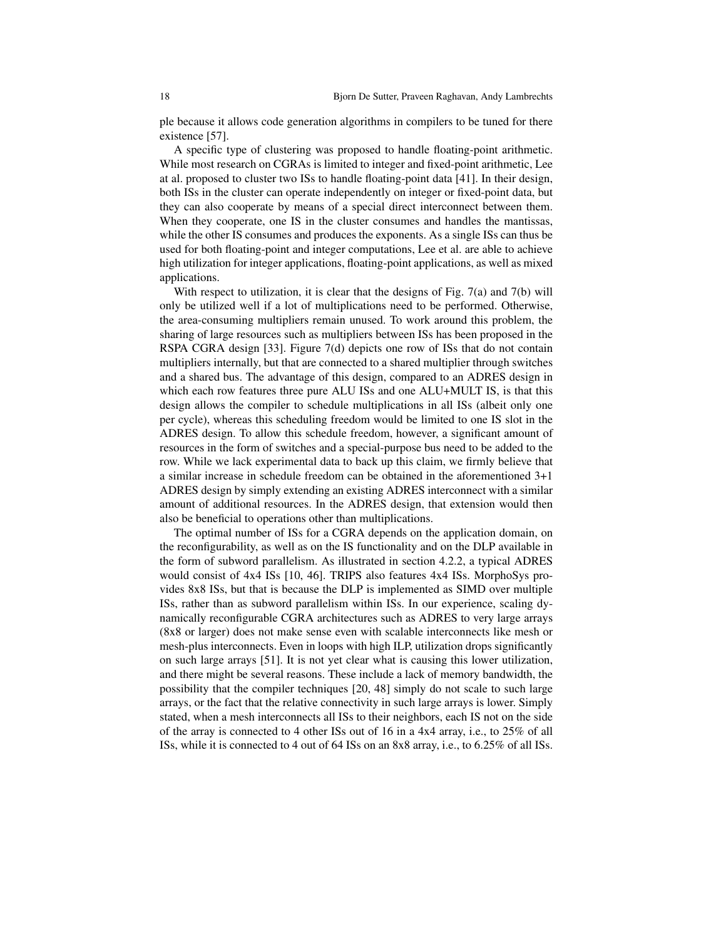ple because it allows code generation algorithms in compilers to be tuned for there existence [57].

A specific type of clustering was proposed to handle floating-point arithmetic. While most research on CGRAs is limited to integer and fixed-point arithmetic, Lee at al. proposed to cluster two ISs to handle floating-point data [41]. In their design, both ISs in the cluster can operate independently on integer or fixed-point data, but they can also cooperate by means of a special direct interconnect between them. When they cooperate, one IS in the cluster consumes and handles the mantissas, while the other IS consumes and produces the exponents. As a single ISs can thus be used for both floating-point and integer computations, Lee et al. are able to achieve high utilization for integer applications, floating-point applications, as well as mixed applications.

With respect to utilization, it is clear that the designs of Fig. 7(a) and 7(b) will only be utilized well if a lot of multiplications need to be performed. Otherwise, the area-consuming multipliers remain unused. To work around this problem, the sharing of large resources such as multipliers between ISs has been proposed in the RSPA CGRA design [33]. Figure 7(d) depicts one row of ISs that do not contain multipliers internally, but that are connected to a shared multiplier through switches and a shared bus. The advantage of this design, compared to an ADRES design in which each row features three pure ALU ISs and one ALU+MULT IS, is that this design allows the compiler to schedule multiplications in all ISs (albeit only one per cycle), whereas this scheduling freedom would be limited to one IS slot in the ADRES design. To allow this schedule freedom, however, a significant amount of resources in the form of switches and a special-purpose bus need to be added to the row. While we lack experimental data to back up this claim, we firmly believe that a similar increase in schedule freedom can be obtained in the aforementioned 3+1 ADRES design by simply extending an existing ADRES interconnect with a similar amount of additional resources. In the ADRES design, that extension would then also be beneficial to operations other than multiplications.

The optimal number of ISs for a CGRA depends on the application domain, on the reconfigurability, as well as on the IS functionality and on the DLP available in the form of subword parallelism. As illustrated in section 4.2.2, a typical ADRES would consist of 4x4 ISs [10, 46]. TRIPS also features 4x4 ISs. MorphoSys provides 8x8 ISs, but that is because the DLP is implemented as SIMD over multiple ISs, rather than as subword parallelism within ISs. In our experience, scaling dynamically reconfigurable CGRA architectures such as ADRES to very large arrays (8x8 or larger) does not make sense even with scalable interconnects like mesh or mesh-plus interconnects. Even in loops with high ILP, utilization drops significantly on such large arrays [51]. It is not yet clear what is causing this lower utilization, and there might be several reasons. These include a lack of memory bandwidth, the possibility that the compiler techniques [20, 48] simply do not scale to such large arrays, or the fact that the relative connectivity in such large arrays is lower. Simply stated, when a mesh interconnects all ISs to their neighbors, each IS not on the side of the array is connected to 4 other ISs out of 16 in a 4x4 array, i.e., to 25% of all ISs, while it is connected to 4 out of 64 ISs on an 8x8 array, i.e., to 6.25% of all ISs.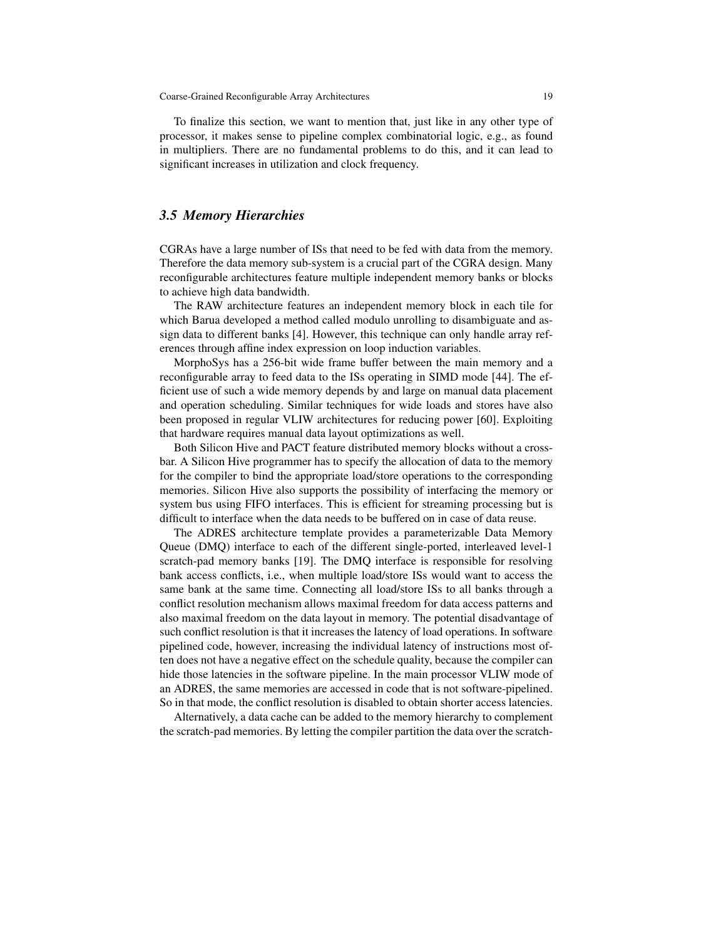To finalize this section, we want to mention that, just like in any other type of processor, it makes sense to pipeline complex combinatorial logic, e.g., as found in multipliers. There are no fundamental problems to do this, and it can lead to significant increases in utilization and clock frequency.

### *3.5 Memory Hierarchies*

CGRAs have a large number of ISs that need to be fed with data from the memory. Therefore the data memory sub-system is a crucial part of the CGRA design. Many reconfigurable architectures feature multiple independent memory banks or blocks to achieve high data bandwidth.

The RAW architecture features an independent memory block in each tile for which Barua developed a method called modulo unrolling to disambiguate and assign data to different banks [4]. However, this technique can only handle array references through affine index expression on loop induction variables.

MorphoSys has a 256-bit wide frame buffer between the main memory and a reconfigurable array to feed data to the ISs operating in SIMD mode [44]. The efficient use of such a wide memory depends by and large on manual data placement and operation scheduling. Similar techniques for wide loads and stores have also been proposed in regular VLIW architectures for reducing power [60]. Exploiting that hardware requires manual data layout optimizations as well.

Both Silicon Hive and PACT feature distributed memory blocks without a crossbar. A Silicon Hive programmer has to specify the allocation of data to the memory for the compiler to bind the appropriate load/store operations to the corresponding memories. Silicon Hive also supports the possibility of interfacing the memory or system bus using FIFO interfaces. This is efficient for streaming processing but is difficult to interface when the data needs to be buffered on in case of data reuse.

The ADRES architecture template provides a parameterizable Data Memory Queue (DMQ) interface to each of the different single-ported, interleaved level-1 scratch-pad memory banks [19]. The DMQ interface is responsible for resolving bank access conflicts, i.e., when multiple load/store ISs would want to access the same bank at the same time. Connecting all load/store ISs to all banks through a conflict resolution mechanism allows maximal freedom for data access patterns and also maximal freedom on the data layout in memory. The potential disadvantage of such conflict resolution is that it increases the latency of load operations. In software pipelined code, however, increasing the individual latency of instructions most often does not have a negative effect on the schedule quality, because the compiler can hide those latencies in the software pipeline. In the main processor VLIW mode of an ADRES, the same memories are accessed in code that is not software-pipelined. So in that mode, the conflict resolution is disabled to obtain shorter access latencies.

Alternatively, a data cache can be added to the memory hierarchy to complement the scratch-pad memories. By letting the compiler partition the data over the scratch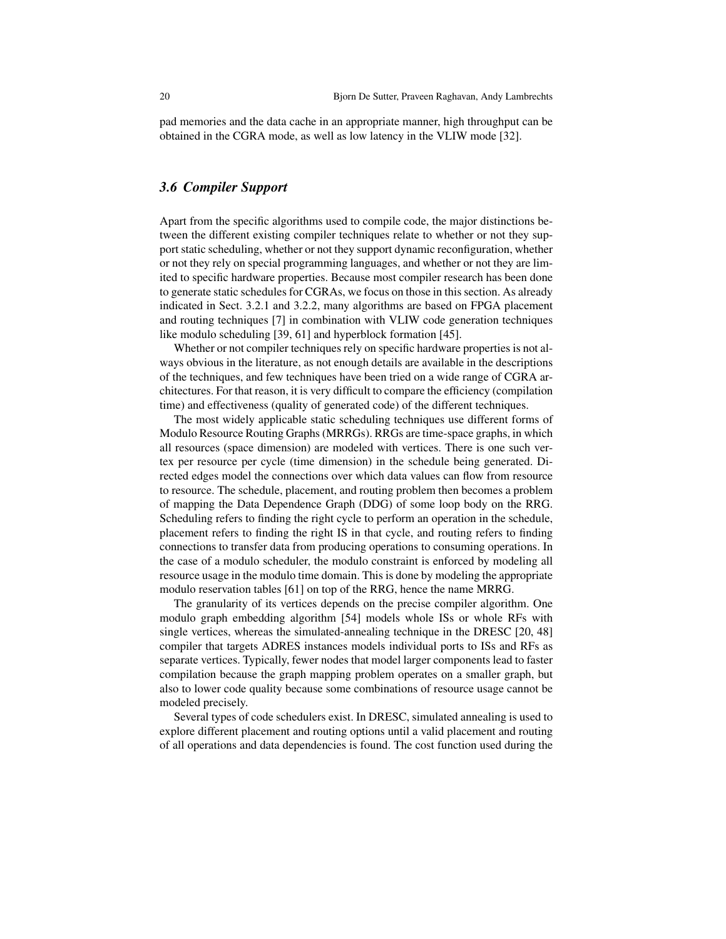pad memories and the data cache in an appropriate manner, high throughput can be obtained in the CGRA mode, as well as low latency in the VLIW mode [32].

# *3.6 Compiler Support*

Apart from the specific algorithms used to compile code, the major distinctions between the different existing compiler techniques relate to whether or not they support static scheduling, whether or not they support dynamic reconfiguration, whether or not they rely on special programming languages, and whether or not they are limited to specific hardware properties. Because most compiler research has been done to generate static schedules for CGRAs, we focus on those in this section. As already indicated in Sect. 3.2.1 and 3.2.2, many algorithms are based on FPGA placement and routing techniques [7] in combination with VLIW code generation techniques like modulo scheduling [39, 61] and hyperblock formation [45].

Whether or not compiler techniques rely on specific hardware properties is not always obvious in the literature, as not enough details are available in the descriptions of the techniques, and few techniques have been tried on a wide range of CGRA architectures. For that reason, it is very difficult to compare the efficiency (compilation time) and effectiveness (quality of generated code) of the different techniques.

The most widely applicable static scheduling techniques use different forms of Modulo Resource Routing Graphs (MRRGs). RRGs are time-space graphs, in which all resources (space dimension) are modeled with vertices. There is one such vertex per resource per cycle (time dimension) in the schedule being generated. Directed edges model the connections over which data values can flow from resource to resource. The schedule, placement, and routing problem then becomes a problem of mapping the Data Dependence Graph (DDG) of some loop body on the RRG. Scheduling refers to finding the right cycle to perform an operation in the schedule, placement refers to finding the right IS in that cycle, and routing refers to finding connections to transfer data from producing operations to consuming operations. In the case of a modulo scheduler, the modulo constraint is enforced by modeling all resource usage in the modulo time domain. This is done by modeling the appropriate modulo reservation tables [61] on top of the RRG, hence the name MRRG.

The granularity of its vertices depends on the precise compiler algorithm. One modulo graph embedding algorithm [54] models whole ISs or whole RFs with single vertices, whereas the simulated-annealing technique in the DRESC [20, 48] compiler that targets ADRES instances models individual ports to ISs and RFs as separate vertices. Typically, fewer nodes that model larger components lead to faster compilation because the graph mapping problem operates on a smaller graph, but also to lower code quality because some combinations of resource usage cannot be modeled precisely.

Several types of code schedulers exist. In DRESC, simulated annealing is used to explore different placement and routing options until a valid placement and routing of all operations and data dependencies is found. The cost function used during the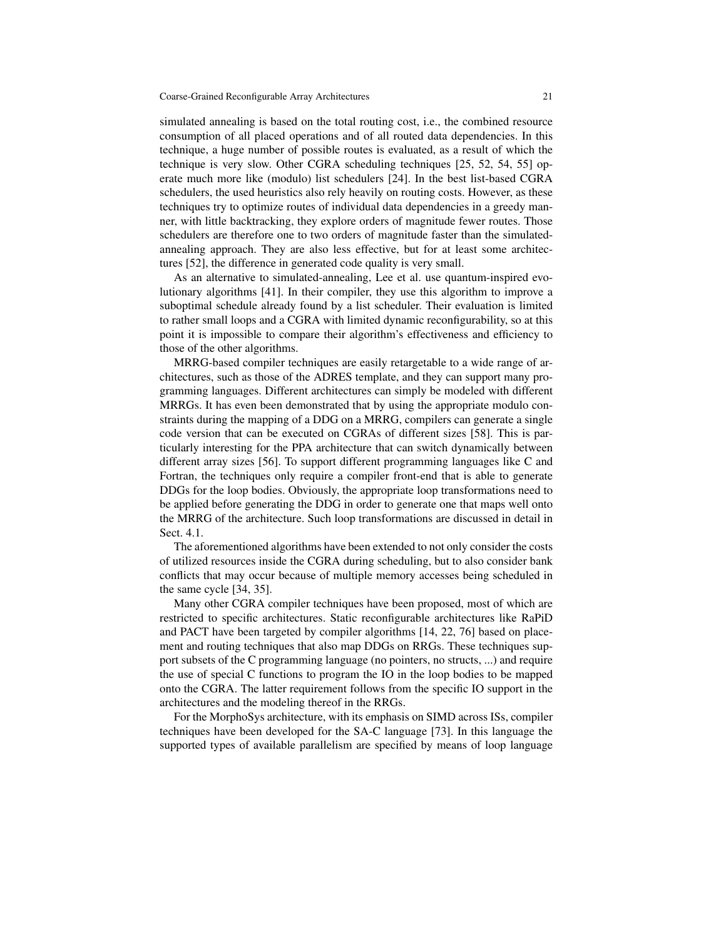simulated annealing is based on the total routing cost, i.e., the combined resource consumption of all placed operations and of all routed data dependencies. In this technique, a huge number of possible routes is evaluated, as a result of which the technique is very slow. Other CGRA scheduling techniques [25, 52, 54, 55] operate much more like (modulo) list schedulers [24]. In the best list-based CGRA schedulers, the used heuristics also rely heavily on routing costs. However, as these techniques try to optimize routes of individual data dependencies in a greedy manner, with little backtracking, they explore orders of magnitude fewer routes. Those schedulers are therefore one to two orders of magnitude faster than the simulatedannealing approach. They are also less effective, but for at least some architectures [52], the difference in generated code quality is very small.

As an alternative to simulated-annealing, Lee et al. use quantum-inspired evolutionary algorithms [41]. In their compiler, they use this algorithm to improve a suboptimal schedule already found by a list scheduler. Their evaluation is limited to rather small loops and a CGRA with limited dynamic reconfigurability, so at this point it is impossible to compare their algorithm's effectiveness and efficiency to those of the other algorithms.

MRRG-based compiler techniques are easily retargetable to a wide range of architectures, such as those of the ADRES template, and they can support many programming languages. Different architectures can simply be modeled with different MRRGs. It has even been demonstrated that by using the appropriate modulo constraints during the mapping of a DDG on a MRRG, compilers can generate a single code version that can be executed on CGRAs of different sizes [58]. This is particularly interesting for the PPA architecture that can switch dynamically between different array sizes [56]. To support different programming languages like C and Fortran, the techniques only require a compiler front-end that is able to generate DDGs for the loop bodies. Obviously, the appropriate loop transformations need to be applied before generating the DDG in order to generate one that maps well onto the MRRG of the architecture. Such loop transformations are discussed in detail in Sect. 4.1.

The aforementioned algorithms have been extended to not only consider the costs of utilized resources inside the CGRA during scheduling, but to also consider bank conflicts that may occur because of multiple memory accesses being scheduled in the same cycle [34, 35].

Many other CGRA compiler techniques have been proposed, most of which are restricted to specific architectures. Static reconfigurable architectures like RaPiD and PACT have been targeted by compiler algorithms [14, 22, 76] based on placement and routing techniques that also map DDGs on RRGs. These techniques support subsets of the C programming language (no pointers, no structs, ...) and require the use of special C functions to program the IO in the loop bodies to be mapped onto the CGRA. The latter requirement follows from the specific IO support in the architectures and the modeling thereof in the RRGs.

For the MorphoSys architecture, with its emphasis on SIMD across ISs, compiler techniques have been developed for the SA-C language [73]. In this language the supported types of available parallelism are specified by means of loop language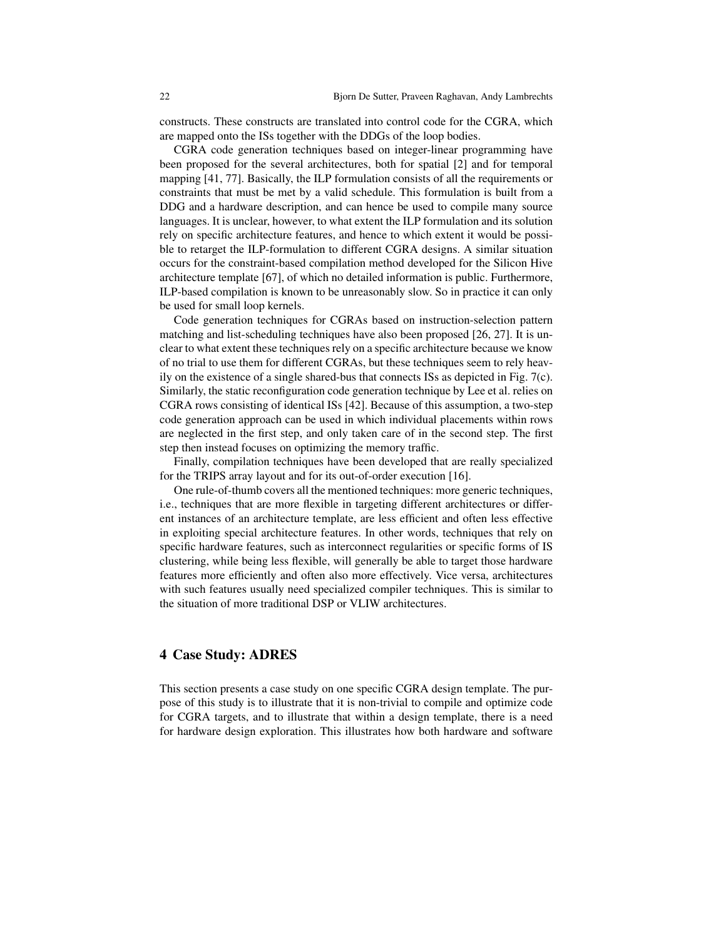constructs. These constructs are translated into control code for the CGRA, which are mapped onto the ISs together with the DDGs of the loop bodies.

CGRA code generation techniques based on integer-linear programming have been proposed for the several architectures, both for spatial [2] and for temporal mapping [41, 77]. Basically, the ILP formulation consists of all the requirements or constraints that must be met by a valid schedule. This formulation is built from a DDG and a hardware description, and can hence be used to compile many source languages. It is unclear, however, to what extent the ILP formulation and its solution rely on specific architecture features, and hence to which extent it would be possible to retarget the ILP-formulation to different CGRA designs. A similar situation occurs for the constraint-based compilation method developed for the Silicon Hive architecture template [67], of which no detailed information is public. Furthermore, ILP-based compilation is known to be unreasonably slow. So in practice it can only be used for small loop kernels.

Code generation techniques for CGRAs based on instruction-selection pattern matching and list-scheduling techniques have also been proposed [26, 27]. It is unclear to what extent these techniques rely on a specific architecture because we know of no trial to use them for different CGRAs, but these techniques seem to rely heavily on the existence of a single shared-bus that connects ISs as depicted in Fig. 7(c). Similarly, the static reconfiguration code generation technique by Lee et al. relies on CGRA rows consisting of identical ISs [42]. Because of this assumption, a two-step code generation approach can be used in which individual placements within rows are neglected in the first step, and only taken care of in the second step. The first step then instead focuses on optimizing the memory traffic.

Finally, compilation techniques have been developed that are really specialized for the TRIPS array layout and for its out-of-order execution [16].

One rule-of-thumb covers all the mentioned techniques: more generic techniques, i.e., techniques that are more flexible in targeting different architectures or different instances of an architecture template, are less efficient and often less effective in exploiting special architecture features. In other words, techniques that rely on specific hardware features, such as interconnect regularities or specific forms of IS clustering, while being less flexible, will generally be able to target those hardware features more efficiently and often also more effectively. Vice versa, architectures with such features usually need specialized compiler techniques. This is similar to the situation of more traditional DSP or VLIW architectures.

### 4 Case Study: ADRES

This section presents a case study on one specific CGRA design template. The purpose of this study is to illustrate that it is non-trivial to compile and optimize code for CGRA targets, and to illustrate that within a design template, there is a need for hardware design exploration. This illustrates how both hardware and software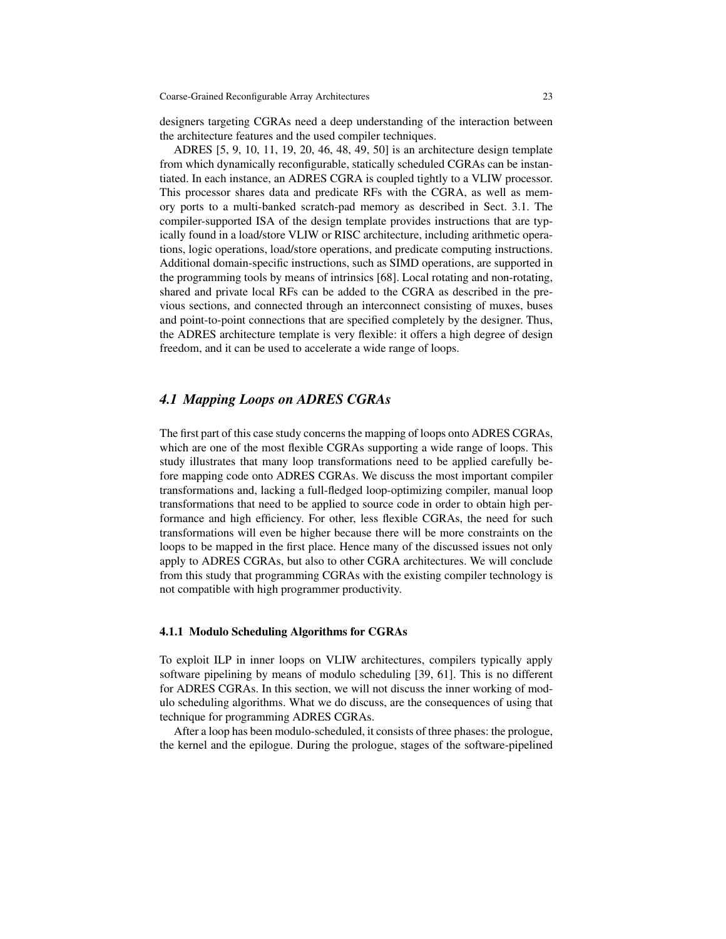designers targeting CGRAs need a deep understanding of the interaction between the architecture features and the used compiler techniques.

ADRES [5, 9, 10, 11, 19, 20, 46, 48, 49, 50] is an architecture design template from which dynamically reconfigurable, statically scheduled CGRAs can be instantiated. In each instance, an ADRES CGRA is coupled tightly to a VLIW processor. This processor shares data and predicate RFs with the CGRA, as well as memory ports to a multi-banked scratch-pad memory as described in Sect. 3.1. The compiler-supported ISA of the design template provides instructions that are typically found in a load/store VLIW or RISC architecture, including arithmetic operations, logic operations, load/store operations, and predicate computing instructions. Additional domain-specific instructions, such as SIMD operations, are supported in the programming tools by means of intrinsics [68]. Local rotating and non-rotating, shared and private local RFs can be added to the CGRA as described in the previous sections, and connected through an interconnect consisting of muxes, buses and point-to-point connections that are specified completely by the designer. Thus, the ADRES architecture template is very flexible: it offers a high degree of design freedom, and it can be used to accelerate a wide range of loops.

# *4.1 Mapping Loops on ADRES CGRAs*

The first part of this case study concerns the mapping of loops onto ADRES CGRAs, which are one of the most flexible CGRAs supporting a wide range of loops. This study illustrates that many loop transformations need to be applied carefully before mapping code onto ADRES CGRAs. We discuss the most important compiler transformations and, lacking a full-fledged loop-optimizing compiler, manual loop transformations that need to be applied to source code in order to obtain high performance and high efficiency. For other, less flexible CGRAs, the need for such transformations will even be higher because there will be more constraints on the loops to be mapped in the first place. Hence many of the discussed issues not only apply to ADRES CGRAs, but also to other CGRA architectures. We will conclude from this study that programming CGRAs with the existing compiler technology is not compatible with high programmer productivity.

### 4.1.1 Modulo Scheduling Algorithms for CGRAs

To exploit ILP in inner loops on VLIW architectures, compilers typically apply software pipelining by means of modulo scheduling [39, 61]. This is no different for ADRES CGRAs. In this section, we will not discuss the inner working of modulo scheduling algorithms. What we do discuss, are the consequences of using that technique for programming ADRES CGRAs.

After a loop has been modulo-scheduled, it consists of three phases: the prologue, the kernel and the epilogue. During the prologue, stages of the software-pipelined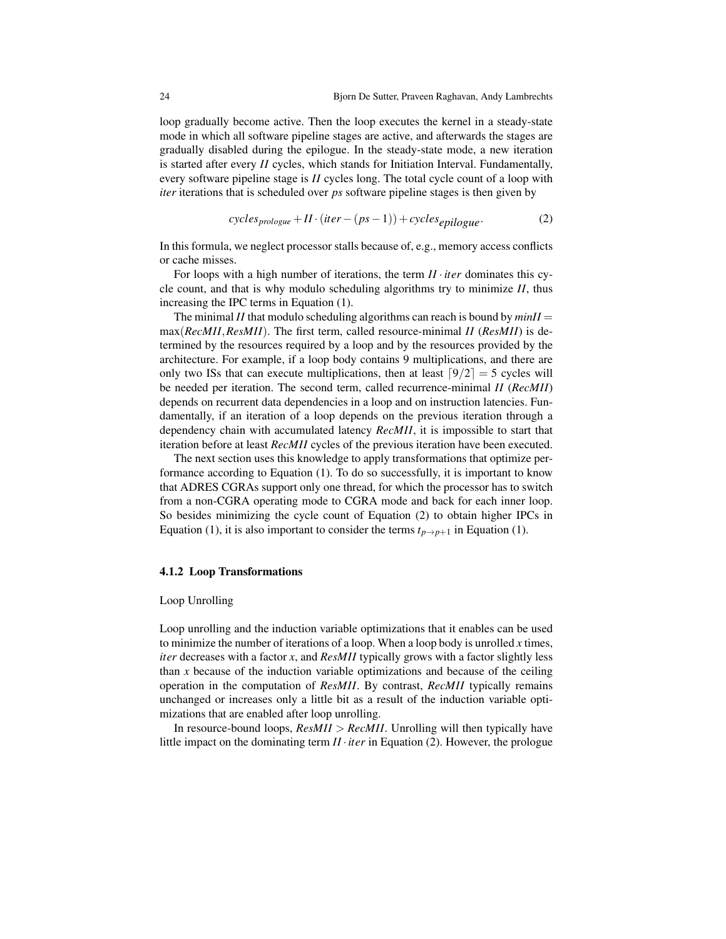loop gradually become active. Then the loop executes the kernel in a steady-state mode in which all software pipeline stages are active, and afterwards the stages are gradually disabled during the epilogue. In the steady-state mode, a new iteration is started after every *II* cycles, which stands for Initiation Interval. Fundamentally, every software pipeline stage is *II* cycles long. The total cycle count of a loop with *iter* iterations that is scheduled over *ps* software pipeline stages is then given by

$$
cycles_{\text{prologue}} + II \cdot (iter - (ps - 1)) + cycles_{\text{epilogue}}.
$$
\n<sup>(2)</sup>

In this formula, we neglect processor stalls because of, e.g., memory access conflicts or cache misses.

For loops with a high number of iterations, the term  $II \cdot iter$  dominates this cycle count, and that is why modulo scheduling algorithms try to minimize *II*, thus increasing the IPC terms in Equation (1).

The minimal *II* that modulo scheduling algorithms can reach is bound by  $minII =$ max(*RecMII*,*ResMII*). The first term, called resource-minimal *II* (*ResMII*) is determined by the resources required by a loop and by the resources provided by the architecture. For example, if a loop body contains 9 multiplications, and there are only two ISs that can execute multiplications, then at least  $\left[9/2\right] = 5$  cycles will be needed per iteration. The second term, called recurrence-minimal *II* (*RecMII*) depends on recurrent data dependencies in a loop and on instruction latencies. Fundamentally, if an iteration of a loop depends on the previous iteration through a dependency chain with accumulated latency *RecMII*, it is impossible to start that iteration before at least *RecMII* cycles of the previous iteration have been executed.

The next section uses this knowledge to apply transformations that optimize performance according to Equation (1). To do so successfully, it is important to know that ADRES CGRAs support only one thread, for which the processor has to switch from a non-CGRA operating mode to CGRA mode and back for each inner loop. So besides minimizing the cycle count of Equation (2) to obtain higher IPCs in Equation (1), it is also important to consider the terms  $t_{p\to p+1}$  in Equation (1).

#### 4.1.2 Loop Transformations

#### Loop Unrolling

Loop unrolling and the induction variable optimizations that it enables can be used to minimize the number of iterations of a loop. When a loop body is unrolled *x* times, *iter* decreases with a factor *x*, and *ResMII* typically grows with a factor slightly less than  $x$  because of the induction variable optimizations and because of the ceiling operation in the computation of *ResMII*. By contrast, *RecMII* typically remains unchanged or increases only a little bit as a result of the induction variable optimizations that are enabled after loop unrolling.

In resource-bound loops, *ResMII* > *RecMII*. Unrolling will then typically have little impact on the dominating term *II* ·*iter* in Equation (2). However, the prologue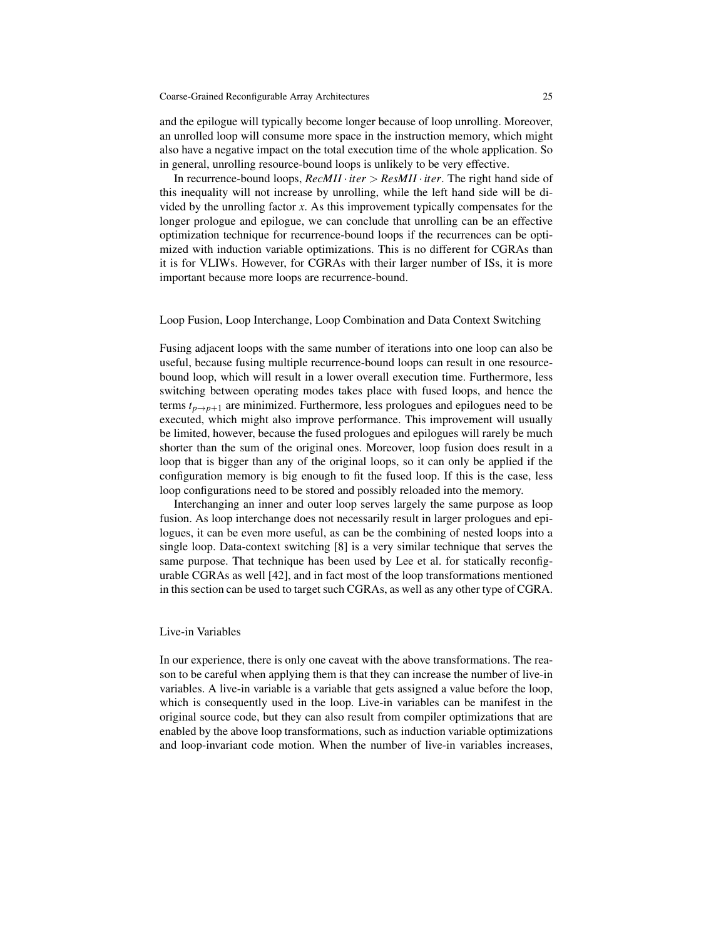and the epilogue will typically become longer because of loop unrolling. Moreover, an unrolled loop will consume more space in the instruction memory, which might also have a negative impact on the total execution time of the whole application. So in general, unrolling resource-bound loops is unlikely to be very effective.

In recurrence-bound loops,  $RecMI \cdot iter > ResMI \cdot iter$ . The right hand side of this inequality will not increase by unrolling, while the left hand side will be divided by the unrolling factor *x*. As this improvement typically compensates for the longer prologue and epilogue, we can conclude that unrolling can be an effective optimization technique for recurrence-bound loops if the recurrences can be optimized with induction variable optimizations. This is no different for CGRAs than it is for VLIWs. However, for CGRAs with their larger number of ISs, it is more important because more loops are recurrence-bound.

#### Loop Fusion, Loop Interchange, Loop Combination and Data Context Switching

Fusing adjacent loops with the same number of iterations into one loop can also be useful, because fusing multiple recurrence-bound loops can result in one resourcebound loop, which will result in a lower overall execution time. Furthermore, less switching between operating modes takes place with fused loops, and hence the terms  $t_{p\rightarrow p+1}$  are minimized. Furthermore, less prologues and epilogues need to be executed, which might also improve performance. This improvement will usually be limited, however, because the fused prologues and epilogues will rarely be much shorter than the sum of the original ones. Moreover, loop fusion does result in a loop that is bigger than any of the original loops, so it can only be applied if the configuration memory is big enough to fit the fused loop. If this is the case, less loop configurations need to be stored and possibly reloaded into the memory.

Interchanging an inner and outer loop serves largely the same purpose as loop fusion. As loop interchange does not necessarily result in larger prologues and epilogues, it can be even more useful, as can be the combining of nested loops into a single loop. Data-context switching [8] is a very similar technique that serves the same purpose. That technique has been used by Lee et al. for statically reconfigurable CGRAs as well [42], and in fact most of the loop transformations mentioned in this section can be used to target such CGRAs, as well as any other type of CGRA.

#### Live-in Variables

In our experience, there is only one caveat with the above transformations. The reason to be careful when applying them is that they can increase the number of live-in variables. A live-in variable is a variable that gets assigned a value before the loop, which is consequently used in the loop. Live-in variables can be manifest in the original source code, but they can also result from compiler optimizations that are enabled by the above loop transformations, such as induction variable optimizations and loop-invariant code motion. When the number of live-in variables increases,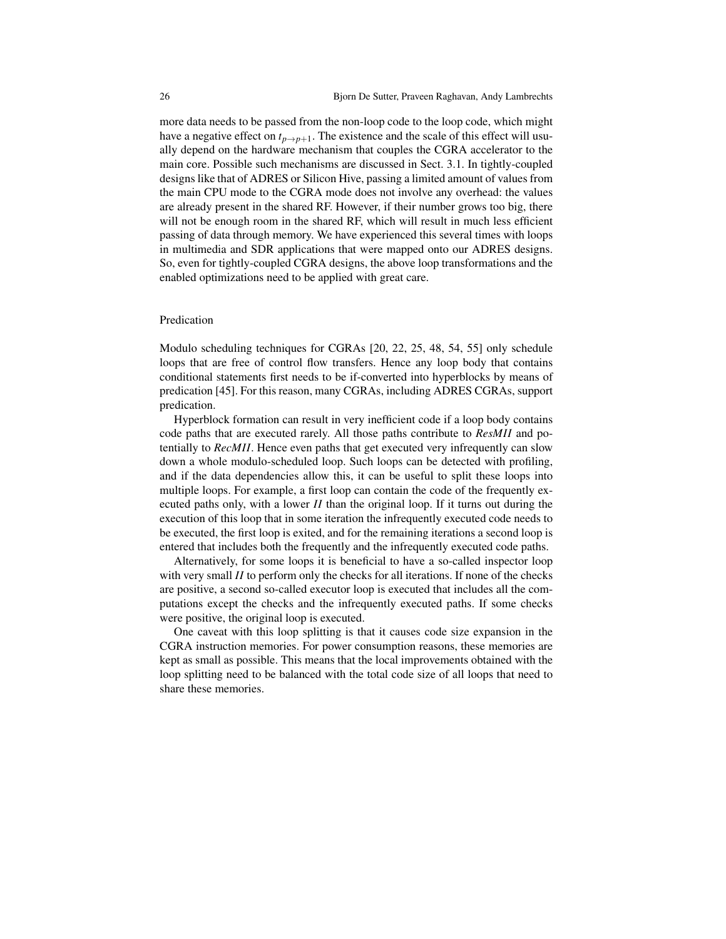more data needs to be passed from the non-loop code to the loop code, which might have a negative effect on  $t_{p\to p+1}$ . The existence and the scale of this effect will usually depend on the hardware mechanism that couples the CGRA accelerator to the main core. Possible such mechanisms are discussed in Sect. 3.1. In tightly-coupled designs like that of ADRES or Silicon Hive, passing a limited amount of values from the main CPU mode to the CGRA mode does not involve any overhead: the values are already present in the shared RF. However, if their number grows too big, there will not be enough room in the shared RF, which will result in much less efficient passing of data through memory. We have experienced this several times with loops in multimedia and SDR applications that were mapped onto our ADRES designs. So, even for tightly-coupled CGRA designs, the above loop transformations and the enabled optimizations need to be applied with great care.

#### Predication

Modulo scheduling techniques for CGRAs [20, 22, 25, 48, 54, 55] only schedule loops that are free of control flow transfers. Hence any loop body that contains conditional statements first needs to be if-converted into hyperblocks by means of predication [45]. For this reason, many CGRAs, including ADRES CGRAs, support predication.

Hyperblock formation can result in very inefficient code if a loop body contains code paths that are executed rarely. All those paths contribute to *ResMII* and potentially to *RecMII*. Hence even paths that get executed very infrequently can slow down a whole modulo-scheduled loop. Such loops can be detected with profiling, and if the data dependencies allow this, it can be useful to split these loops into multiple loops. For example, a first loop can contain the code of the frequently executed paths only, with a lower *II* than the original loop. If it turns out during the execution of this loop that in some iteration the infrequently executed code needs to be executed, the first loop is exited, and for the remaining iterations a second loop is entered that includes both the frequently and the infrequently executed code paths.

Alternatively, for some loops it is beneficial to have a so-called inspector loop with very small *II* to perform only the checks for all iterations. If none of the checks are positive, a second so-called executor loop is executed that includes all the computations except the checks and the infrequently executed paths. If some checks were positive, the original loop is executed.

One caveat with this loop splitting is that it causes code size expansion in the CGRA instruction memories. For power consumption reasons, these memories are kept as small as possible. This means that the local improvements obtained with the loop splitting need to be balanced with the total code size of all loops that need to share these memories.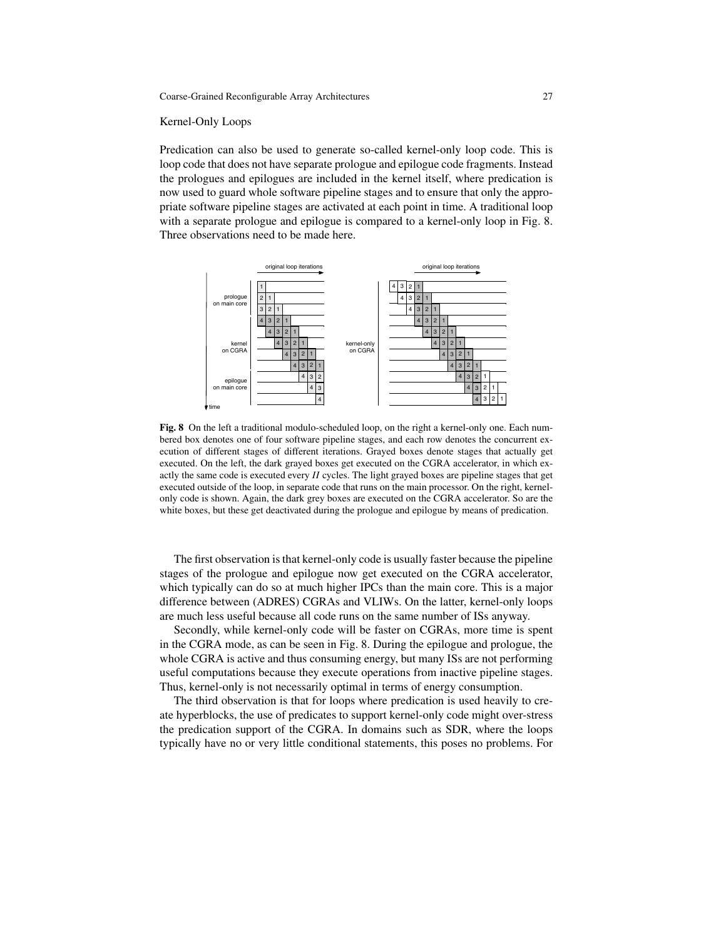#### Kernel-Only Loops

Predication can also be used to generate so-called kernel-only loop code. This is loop code that does not have separate prologue and epilogue code fragments. Instead the prologues and epilogues are included in the kernel itself, where predication is now used to guard whole software pipeline stages and to ensure that only the appropriate software pipeline stages are activated at each point in time. A traditional loop with a separate prologue and epilogue is compared to a kernel-only loop in Fig. 8. Three observations need to be made here.



Fig. 8 On the left a traditional modulo-scheduled loop, on the right a kernel-only one. Each numbered box denotes one of four software pipeline stages, and each row denotes the concurrent execution of different stages of different iterations. Grayed boxes denote stages that actually get executed. On the left, the dark grayed boxes get executed on the CGRA accelerator, in which exactly the same code is executed every *II* cycles. The light grayed boxes are pipeline stages that get executed outside of the loop, in separate code that runs on the main processor. On the right, kernelonly code is shown. Again, the dark grey boxes are executed on the CGRA accelerator. So are the white boxes, but these get deactivated during the prologue and epilogue by means of predication.

The first observation is that kernel-only code is usually faster because the pipeline stages of the prologue and epilogue now get executed on the CGRA accelerator, which typically can do so at much higher IPCs than the main core. This is a major difference between (ADRES) CGRAs and VLIWs. On the latter, kernel-only loops are much less useful because all code runs on the same number of ISs anyway.

Secondly, while kernel-only code will be faster on CGRAs, more time is spent in the CGRA mode, as can be seen in Fig. 8. During the epilogue and prologue, the whole CGRA is active and thus consuming energy, but many ISs are not performing useful computations because they execute operations from inactive pipeline stages. Thus, kernel-only is not necessarily optimal in terms of energy consumption.

The third observation is that for loops where predication is used heavily to create hyperblocks, the use of predicates to support kernel-only code might over-stress the predication support of the CGRA. In domains such as SDR, where the loops typically have no or very little conditional statements, this poses no problems. For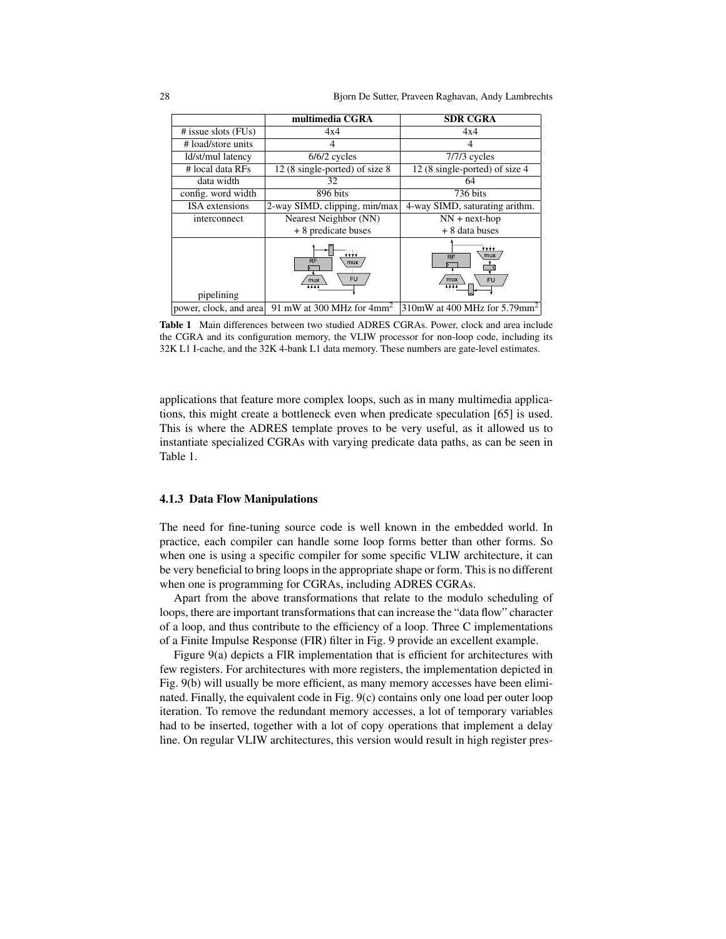|                        | multimedia CGRA                               | <b>SDR CGRA</b>                                      |
|------------------------|-----------------------------------------------|------------------------------------------------------|
| # issue slots $(FUs)$  | 4x4                                           | 4x4                                                  |
| # load/store units     | 4                                             |                                                      |
| ld/st/mul latency      | $6/6/2$ cycles                                | $7/7/3$ cycles                                       |
| # local data RFs       | 12 (8 single-ported) of size 8                | 12 (8 single-ported) of size 4                       |
| data width             | 32                                            | 64                                                   |
| config. word width     | 896 bits                                      | 736 bits                                             |
| <b>ISA</b> extensions  | 2-way SIMD, clipping, min/max                 | 4-way SIMD, saturating arithm.                       |
| interconnect           | Nearest Neighbor (NN)                         | $NN + next-hop$                                      |
|                        | + 8 predicate buses                           | + 8 data buses                                       |
| pipelining             | 1111<br>RF<br>mux<br><b>FU</b><br>mux<br>**** | ∓∔∔∔<br>mux<br><b>RF</b><br>mux<br><b>FU</b><br>1111 |
| power, clock, and area | 91 mW at 300 MHz for $4mm2$                   | $310$ mW at 400 MHz for 5.79mm <sup>2</sup>          |

Table 1 Main differences between two studied ADRES CGRAs. Power, clock and area include the CGRA and its configuration memory, the VLIW processor for non-loop code, including its 32K L1 I-cache, and the 32K 4-bank L1 data memory. These numbers are gate-level estimates.

applications that feature more complex loops, such as in many multimedia applications, this might create a bottleneck even when predicate speculation [65] is used. This is where the ADRES template proves to be very useful, as it allowed us to instantiate specialized CGRAs with varying predicate data paths, as can be seen in Table 1.

#### 4.1.3 Data Flow Manipulations

The need for fine-tuning source code is well known in the embedded world. In practice, each compiler can handle some loop forms better than other forms. So when one is using a specific compiler for some specific VLIW architecture, it can be very beneficial to bring loops in the appropriate shape or form. This is no different when one is programming for CGRAs, including ADRES CGRAs.

Apart from the above transformations that relate to the modulo scheduling of loops, there are important transformations that can increase the "data flow" character of a loop, and thus contribute to the efficiency of a loop. Three C implementations of a Finite Impulse Response (FIR) filter in Fig. 9 provide an excellent example.

Figure 9(a) depicts a FIR implementation that is efficient for architectures with few registers. For architectures with more registers, the implementation depicted in Fig. 9(b) will usually be more efficient, as many memory accesses have been eliminated. Finally, the equivalent code in Fig. 9(c) contains only one load per outer loop iteration. To remove the redundant memory accesses, a lot of temporary variables had to be inserted, together with a lot of copy operations that implement a delay line. On regular VLIW architectures, this version would result in high register pres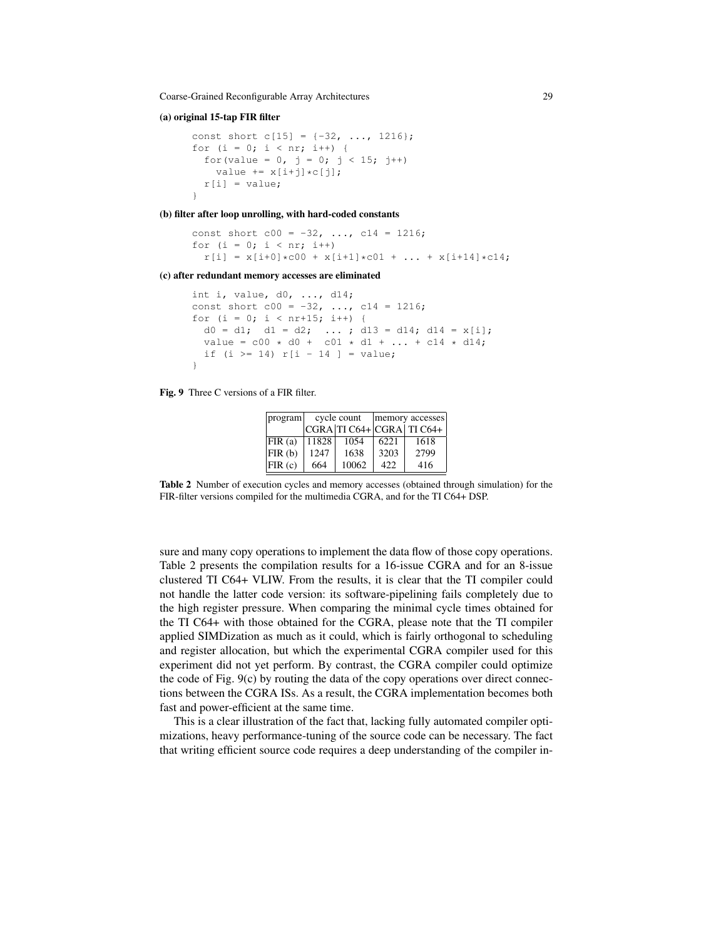Coarse-Grained Reconfigurable Array Architectures 29

(a) original 15-tap FIR filter

```
const short c[15] = \{-32, ..., 1216\};
for (i = 0; i < nr; i++) {
 for(value = 0, i = 0; j < 15; i+1)
   value += x[i+j]*c[j];r[i] = value;
}
```
(b) filter after loop unrolling, with hard-coded constants

```
const short c00 = -32, ..., c14 = 1216;
for (i = 0; i < nr; i++)r[i] = x[i+0]*c00 + x[i+1]*c01 + ... + x[i+14]*c14;
```
(c) after redundant memory accesses are eliminated

```
int i, value, d0, ..., d14;
const short c00 = -32, ..., c14 = 1216;
for (i = 0; i < nr+15; i++) {
  d0 = d1; d1 = d2; ...; d13 = d14; d14 = x[i];value = c00 * d0 + c01 * d1 + ... + c14 * d14;if (i \ge 14) r[i - 14 ] = value;
}
```
Fig. 9 Three C versions of a FIR filter.

| program |       | cycle count | memory accesses |                              |  |  |
|---------|-------|-------------|-----------------|------------------------------|--|--|
|         |       |             |                 | $ CGRA TI C64+ CGRA TI C64+$ |  |  |
| FIR(a)  | 11828 | 1054        | 6221            | 1618                         |  |  |
| FIR(b)  | 1247  | 1638        | 3203            | 2799                         |  |  |
| FIR(c)  | 664   | 10062       | 422             | 416                          |  |  |

Table 2 Number of execution cycles and memory accesses (obtained through simulation) for the FIR-filter versions compiled for the multimedia CGRA, and for the TI C64+ DSP.

sure and many copy operations to implement the data flow of those copy operations. Table 2 presents the compilation results for a 16-issue CGRA and for an 8-issue clustered TI C64+ VLIW. From the results, it is clear that the TI compiler could not handle the latter code version: its software-pipelining fails completely due to the high register pressure. When comparing the minimal cycle times obtained for the TI C64+ with those obtained for the CGRA, please note that the TI compiler applied SIMDization as much as it could, which is fairly orthogonal to scheduling and register allocation, but which the experimental CGRA compiler used for this experiment did not yet perform. By contrast, the CGRA compiler could optimize the code of Fig. 9(c) by routing the data of the copy operations over direct connections between the CGRA ISs. As a result, the CGRA implementation becomes both fast and power-efficient at the same time.

This is a clear illustration of the fact that, lacking fully automated compiler optimizations, heavy performance-tuning of the source code can be necessary. The fact that writing efficient source code requires a deep understanding of the compiler in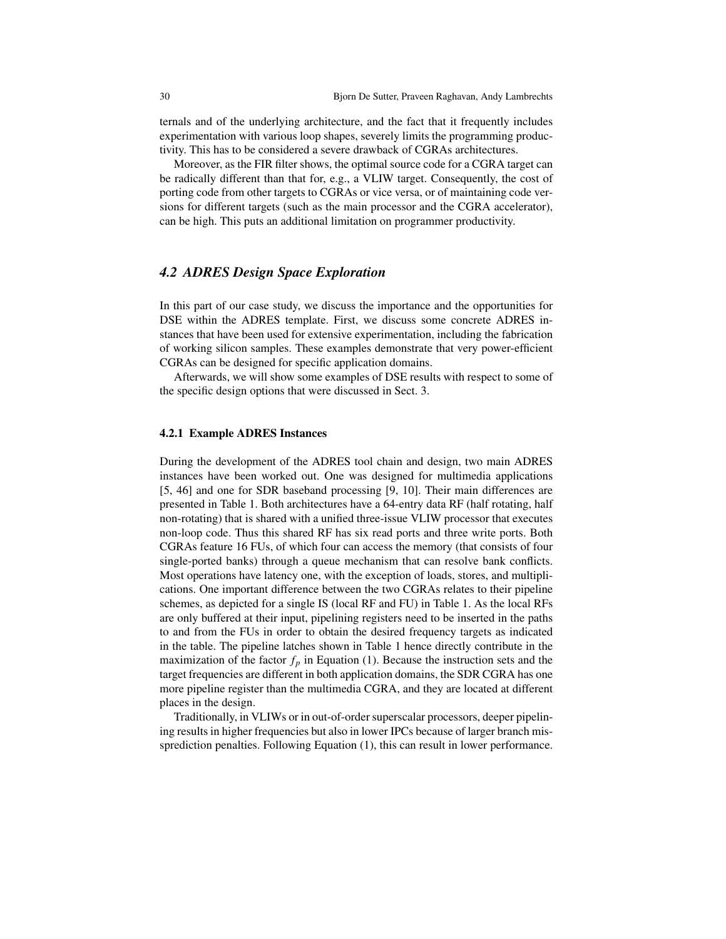ternals and of the underlying architecture, and the fact that it frequently includes experimentation with various loop shapes, severely limits the programming productivity. This has to be considered a severe drawback of CGRAs architectures.

Moreover, as the FIR filter shows, the optimal source code for a CGRA target can be radically different than that for, e.g., a VLIW target. Consequently, the cost of porting code from other targets to CGRAs or vice versa, or of maintaining code versions for different targets (such as the main processor and the CGRA accelerator), can be high. This puts an additional limitation on programmer productivity.

# *4.2 ADRES Design Space Exploration*

In this part of our case study, we discuss the importance and the opportunities for DSE within the ADRES template. First, we discuss some concrete ADRES instances that have been used for extensive experimentation, including the fabrication of working silicon samples. These examples demonstrate that very power-efficient CGRAs can be designed for specific application domains.

Afterwards, we will show some examples of DSE results with respect to some of the specific design options that were discussed in Sect. 3.

#### 4.2.1 Example ADRES Instances

During the development of the ADRES tool chain and design, two main ADRES instances have been worked out. One was designed for multimedia applications [5, 46] and one for SDR baseband processing [9, 10]. Their main differences are presented in Table 1. Both architectures have a 64-entry data RF (half rotating, half non-rotating) that is shared with a unified three-issue VLIW processor that executes non-loop code. Thus this shared RF has six read ports and three write ports. Both CGRAs feature 16 FUs, of which four can access the memory (that consists of four single-ported banks) through a queue mechanism that can resolve bank conflicts. Most operations have latency one, with the exception of loads, stores, and multiplications. One important difference between the two CGRAs relates to their pipeline schemes, as depicted for a single IS (local RF and FU) in Table 1. As the local RFs are only buffered at their input, pipelining registers need to be inserted in the paths to and from the FUs in order to obtain the desired frequency targets as indicated in the table. The pipeline latches shown in Table 1 hence directly contribute in the maximization of the factor  $f_p$  in Equation (1). Because the instruction sets and the target frequencies are different in both application domains, the SDR CGRA has one more pipeline register than the multimedia CGRA, and they are located at different places in the design.

Traditionally, in VLIWs or in out-of-order superscalar processors, deeper pipelining results in higher frequencies but also in lower IPCs because of larger branch missprediction penalties. Following Equation (1), this can result in lower performance.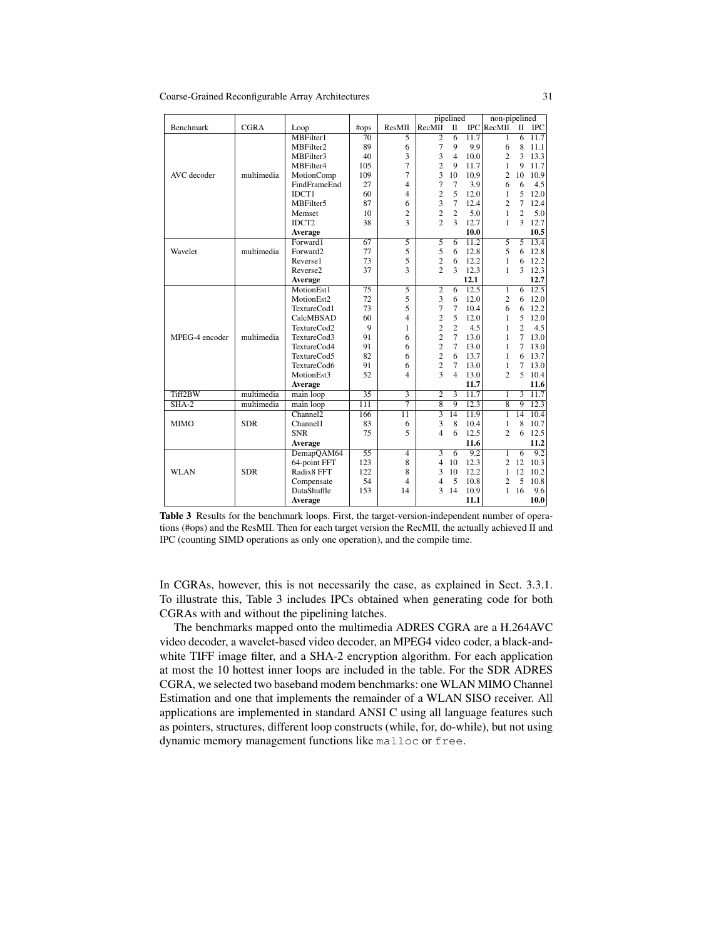Coarse-Grained Reconfigurable Array Architectures 31

|                |             |                      |                 |                | pipelined      |                         | non-pipelined |                   |                         |                   |
|----------------|-------------|----------------------|-----------------|----------------|----------------|-------------------------|---------------|-------------------|-------------------------|-------------------|
| Benchmark      | <b>CGRA</b> | Loop                 | #ops            | ResMII         | RecMII         | $\mathbf{I}$            |               | <b>IPC</b> RecMII | $\mathbf{I}$            | <b>IPC</b>        |
|                |             | MBFilter1            | 70              | 5              | $\overline{c}$ | $\overline{6}$          | 11.7          | 1                 | 6                       | 11.7              |
|                |             | MBFilter2            | 89              | 6              | 7              | 9                       | 9.9           | 6                 | 8                       | 11.1              |
|                |             | MBFilter3            | 40              | 3              | 3              | $\overline{4}$          | 10.0          | $\overline{2}$    | 3                       | 13.3              |
|                |             | MBFilter4            | 105             | $\overline{7}$ | $\overline{c}$ | 9                       | 11.7          | 1                 | 9                       | 11.7              |
| AVC decoder    | multimedia  | MotionComp           | 109             | $\overline{7}$ | 3              | 10                      | 10.9          | $\overline{c}$    | 10                      | 10.9              |
|                |             | FindFrameEnd         | 27              | $\overline{4}$ | 7              | $\overline{7}$          | 3.9           | 6                 | 6                       | 4.5               |
|                |             | IDCT1                | 60              | 4              | $\overline{c}$ | 5                       | 12.0          | 1                 | 5                       | 12.0              |
|                |             | MBFilter5            | 87              | 6              | 3              | $\tau$                  | 12.4          | $\overline{c}$    | $\tau$                  | 12.4              |
|                |             | Memset               | 10              | $\overline{c}$ | $\overline{c}$ | $\overline{c}$          | 5.0           | 1                 | $\overline{c}$          | 5.0               |
|                |             | IDCT2                | 38              | 3              | $\overline{c}$ | $\mathbf{3}$            | 12.7          | 1                 | 3                       | 12.7              |
|                |             | Average              |                 |                |                |                         | 10.0          |                   |                         | 10.5              |
|                |             | Forward1             | 67              | 5              | $\overline{5}$ | $\overline{6}$          | 11.2          | 5                 | 5                       | 13.4              |
| Wavelet        | multimedia  | Forward <sub>2</sub> | 77              | 5              | 5              | 6                       | 12.8          | 5                 | 6                       | 12.8              |
|                |             | Reverse1             | 73              | 5              | $\overline{c}$ | 6                       | 12.2          | 1                 | 6                       | 12.2              |
|                |             | Reverse <sub>2</sub> | 37              | 3              | $\overline{c}$ | $\mathbf{3}$            | 12.3          | 1                 | 3                       | 12.3              |
|                |             | Average              |                 |                |                |                         | 12.1          |                   |                         | 12.7              |
|                |             | MotionEst1           | $\overline{75}$ | $\overline{5}$ | $\overline{2}$ | 6                       | 12.5          | 1                 | 6                       | 12.5              |
|                |             | MotionEst2           | 72              | 5              | 3              | 6                       | 12.0          | $\overline{c}$    | 6                       | 12.0              |
|                |             | TextureCod1          | 73              | 5              | 7              | $\tau$                  | 10.4          | 6                 | 6                       | 12.2              |
|                |             | CalcMBSAD            | 60              | $\overline{4}$ | $\overline{c}$ | 5                       | 12.0          | 1                 | 5                       | 12.0              |
|                |             | TextureCod2          | 9               | 1              | $\overline{c}$ | $\overline{c}$          | 4.5           | 1                 | $\overline{c}$          | 4.5               |
| MPEG-4 encoder | multimedia  | TextureCod3          | 91              | 6              | $\overline{c}$ | $\tau$                  | 13.0          | 1                 | 7                       | 13.0              |
|                |             | TextureCod4          | 91              | 6              | $\overline{c}$ | $\tau$                  | 13.0          | 1                 | 7                       | 13.0              |
|                |             | TextureCod5          | 82              | 6              | $\overline{c}$ | 6                       | 13.7          | 1                 | 6                       | 13.7              |
|                |             | TextureCod6          | 91              | 6              | $\overline{c}$ | 7                       | 13.0          | 1                 | 7                       | 13.0              |
|                |             | MotionEst3           | 52              | 4              | 3              | 4                       | 13.0          | $\overline{c}$    | 5                       | 10.4              |
|                |             | Average              |                 |                |                |                         | 11.7          |                   |                         | 11.6              |
| Tiff2BW        | multimedia  | main loop            | $\overline{35}$ | $\overline{3}$ | $\overline{2}$ | $\overline{\mathbf{3}}$ | 11.7          | 1                 | $\overline{\mathbf{3}}$ | 11.7              |
| $SHA-2$        | multimedia  | main loop            | 111             | $\overline{7}$ | $\overline{8}$ | $\overline{9}$          | 12.3          | $\overline{8}$    | $\overline{9}$          | 12.3              |
|                |             | Channel <sub>2</sub> | 166             | 11             | 3              | 14                      | 11.9          | 1                 | 14                      | 10.4              |
| <b>MIMO</b>    | <b>SDR</b>  | Channel1             | 83              | 6              | 3              | 8                       | 10.4          | 1                 | 8                       | 10.7              |
|                |             | <b>SNR</b>           | 75              | 5              | 4              | 6                       | 12.5          | $\overline{c}$    | 6                       | 12.5              |
|                |             | Average              |                 |                |                |                         | 11.6          |                   |                         | 11.2              |
|                |             | DemapQAM64           | 55              | 4              |                | $\overline{6}$          | 9.2           | $\overline{1}$    | $\overline{6}$          | 9.2               |
|                |             | 64-point FFT         | 123             | 8              | 4              | 10                      | 12.3          | $\overline{c}$    | 12                      | 10.3              |
| <b>WLAN</b>    | <b>SDR</b>  | Radix8 FFT           | 122             | 8              | 3              | 10                      | 12.2          | 1                 | 12                      | 10.2              |
|                |             | Compensate           | 54              | 4              | 4              | 5                       | 10.8          | 2                 | 5                       | 10.8              |
|                |             | DataShuffle          | 153             | 14             | 3              | 14                      | 10.9          | 1                 | 16                      | 9.6               |
|                |             | <b>Average</b>       |                 |                |                |                         | 11.1          |                   |                         | 10.0 <sub>1</sub> |

Table 3 Results for the benchmark loops. First, the target-version-independent number of operations (#ops) and the ResMII. Then for each target version the RecMII, the actually achieved II and IPC (counting SIMD operations as only one operation), and the compile time.

In CGRAs, however, this is not necessarily the case, as explained in Sect. 3.3.1. To illustrate this, Table 3 includes IPCs obtained when generating code for both CGRAs with and without the pipelining latches.

The benchmarks mapped onto the multimedia ADRES CGRA are a H.264AVC video decoder, a wavelet-based video decoder, an MPEG4 video coder, a black-andwhite TIFF image filter, and a SHA-2 encryption algorithm. For each application at most the 10 hottest inner loops are included in the table. For the SDR ADRES CGRA, we selected two baseband modem benchmarks: one WLAN MIMO Channel Estimation and one that implements the remainder of a WLAN SISO receiver. All applications are implemented in standard ANSI C using all language features such as pointers, structures, different loop constructs (while, for, do-while), but not using dynamic memory management functions like malloc or free.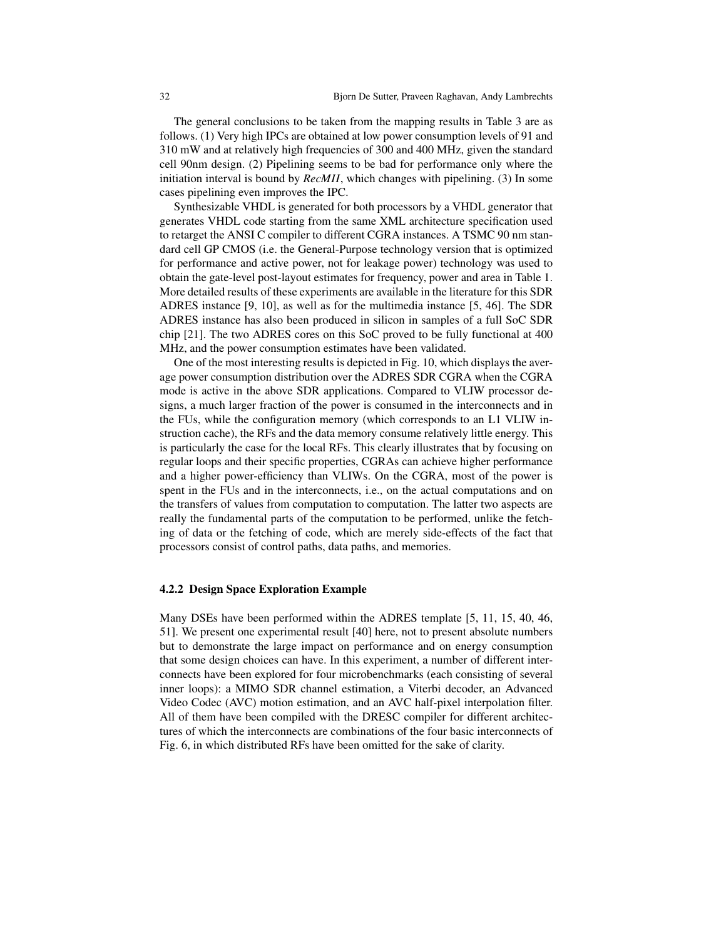The general conclusions to be taken from the mapping results in Table 3 are as follows. (1) Very high IPCs are obtained at low power consumption levels of 91 and 310 mW and at relatively high frequencies of 300 and 400 MHz, given the standard cell 90nm design. (2) Pipelining seems to be bad for performance only where the initiation interval is bound by *RecMII*, which changes with pipelining. (3) In some cases pipelining even improves the IPC.

Synthesizable VHDL is generated for both processors by a VHDL generator that generates VHDL code starting from the same XML architecture specification used to retarget the ANSI C compiler to different CGRA instances. A TSMC 90 nm standard cell GP CMOS (i.e. the General-Purpose technology version that is optimized for performance and active power, not for leakage power) technology was used to obtain the gate-level post-layout estimates for frequency, power and area in Table 1. More detailed results of these experiments are available in the literature for this SDR ADRES instance [9, 10], as well as for the multimedia instance [5, 46]. The SDR ADRES instance has also been produced in silicon in samples of a full SoC SDR chip [21]. The two ADRES cores on this SoC proved to be fully functional at 400 MHz, and the power consumption estimates have been validated.

One of the most interesting results is depicted in Fig. 10, which displays the average power consumption distribution over the ADRES SDR CGRA when the CGRA mode is active in the above SDR applications. Compared to VLIW processor designs, a much larger fraction of the power is consumed in the interconnects and in the FUs, while the configuration memory (which corresponds to an L1 VLIW instruction cache), the RFs and the data memory consume relatively little energy. This is particularly the case for the local RFs. This clearly illustrates that by focusing on regular loops and their specific properties, CGRAs can achieve higher performance and a higher power-efficiency than VLIWs. On the CGRA, most of the power is spent in the FUs and in the interconnects, i.e., on the actual computations and on the transfers of values from computation to computation. The latter two aspects are really the fundamental parts of the computation to be performed, unlike the fetching of data or the fetching of code, which are merely side-effects of the fact that processors consist of control paths, data paths, and memories.

#### 4.2.2 Design Space Exploration Example

Many DSEs have been performed within the ADRES template [5, 11, 15, 40, 46, 51]. We present one experimental result [40] here, not to present absolute numbers but to demonstrate the large impact on performance and on energy consumption that some design choices can have. In this experiment, a number of different interconnects have been explored for four microbenchmarks (each consisting of several inner loops): a MIMO SDR channel estimation, a Viterbi decoder, an Advanced Video Codec (AVC) motion estimation, and an AVC half-pixel interpolation filter. All of them have been compiled with the DRESC compiler for different architectures of which the interconnects are combinations of the four basic interconnects of Fig. 6, in which distributed RFs have been omitted for the sake of clarity.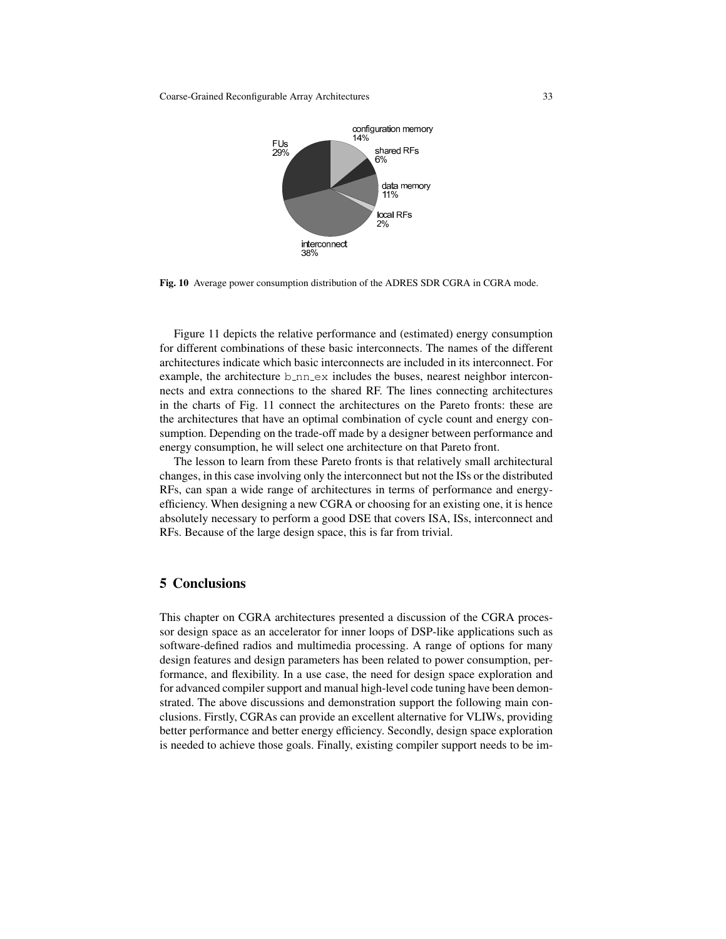

Fig. 10 Average power consumption distribution of the ADRES SDR CGRA in CGRA mode.

Figure 11 depicts the relative performance and (estimated) energy consumption for different combinations of these basic interconnects. The names of the different architectures indicate which basic interconnects are included in its interconnect. For example, the architecture b\_nn\_ex includes the buses, nearest neighbor interconnects and extra connections to the shared RF. The lines connecting architectures in the charts of Fig. 11 connect the architectures on the Pareto fronts: these are the architectures that have an optimal combination of cycle count and energy consumption. Depending on the trade-off made by a designer between performance and energy consumption, he will select one architecture on that Pareto front.

The lesson to learn from these Pareto fronts is that relatively small architectural changes, in this case involving only the interconnect but not the ISs or the distributed RFs, can span a wide range of architectures in terms of performance and energyefficiency. When designing a new CGRA or choosing for an existing one, it is hence absolutely necessary to perform a good DSE that covers ISA, ISs, interconnect and RFs. Because of the large design space, this is far from trivial.

# 5 Conclusions

This chapter on CGRA architectures presented a discussion of the CGRA processor design space as an accelerator for inner loops of DSP-like applications such as software-defined radios and multimedia processing. A range of options for many design features and design parameters has been related to power consumption, performance, and flexibility. In a use case, the need for design space exploration and for advanced compiler support and manual high-level code tuning have been demonstrated. The above discussions and demonstration support the following main conclusions. Firstly, CGRAs can provide an excellent alternative for VLIWs, providing better performance and better energy efficiency. Secondly, design space exploration is needed to achieve those goals. Finally, existing compiler support needs to be im-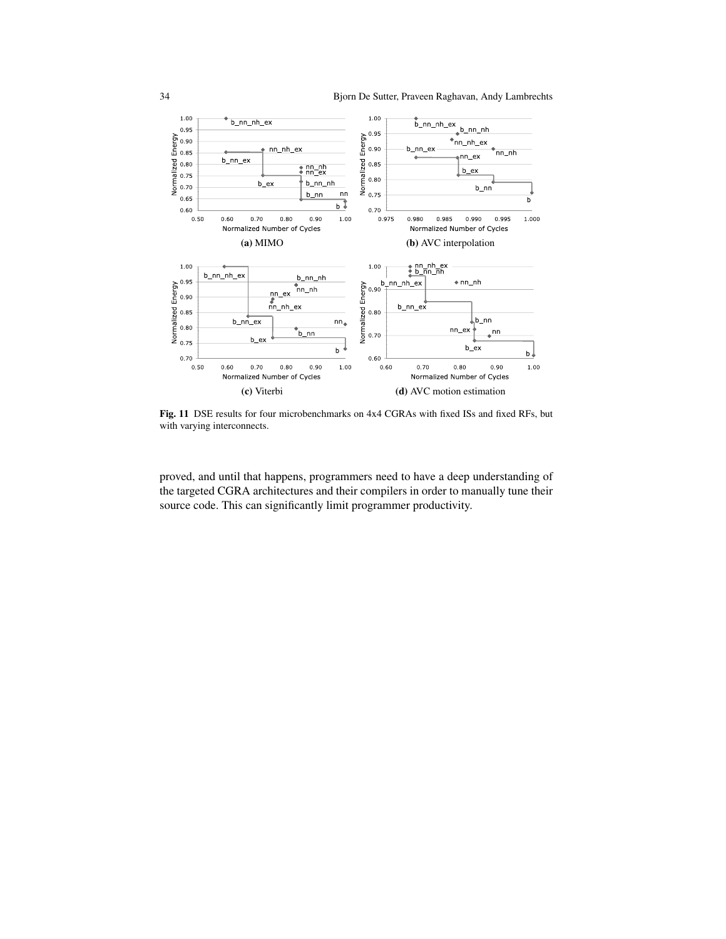

Fig. 11 DSE results for four microbenchmarks on 4x4 CGRAs with fixed ISs and fixed RFs, but with varying interconnects.

proved, and until that happens, programmers need to have a deep understanding of the targeted CGRA architectures and their compilers in order to manually tune their source code. This can significantly limit programmer productivity.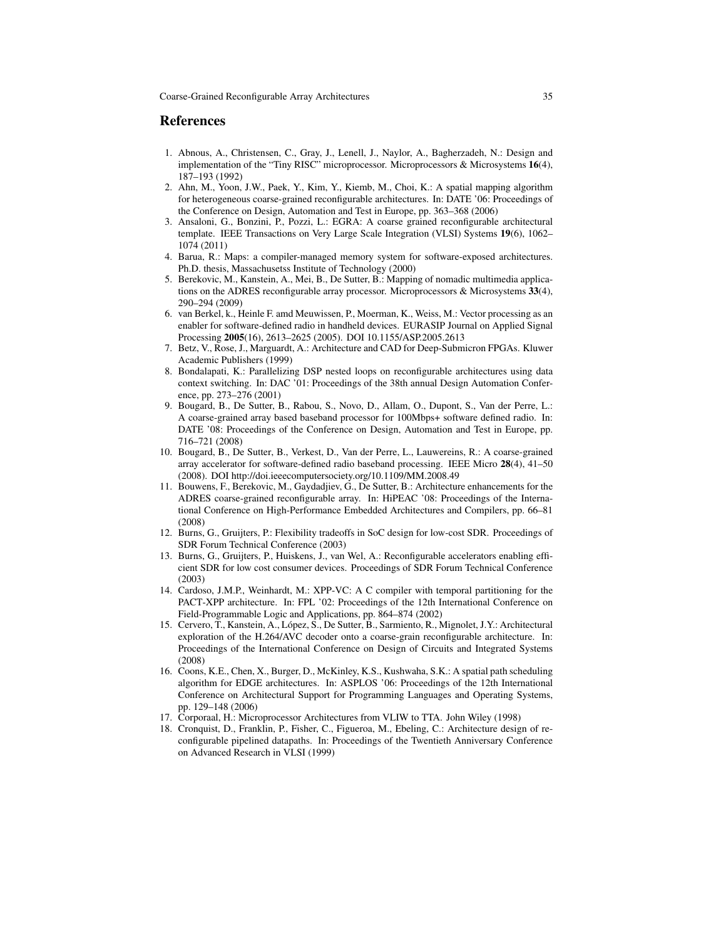### References

- 1. Abnous, A., Christensen, C., Gray, J., Lenell, J., Naylor, A., Bagherzadeh, N.: Design and implementation of the "Tiny RISC" microprocessor. Microprocessors & Microsystems 16(4), 187–193 (1992)
- 2. Ahn, M., Yoon, J.W., Paek, Y., Kim, Y., Kiemb, M., Choi, K.: A spatial mapping algorithm for heterogeneous coarse-grained reconfigurable architectures. In: DATE '06: Proceedings of the Conference on Design, Automation and Test in Europe, pp. 363–368 (2006)
- 3. Ansaloni, G., Bonzini, P., Pozzi, L.: EGRA: A coarse grained reconfigurable architectural template. IEEE Transactions on Very Large Scale Integration (VLSI) Systems 19(6), 1062– 1074 (2011)
- 4. Barua, R.: Maps: a compiler-managed memory system for software-exposed architectures. Ph.D. thesis, Massachusetss Institute of Technology (2000)
- 5. Berekovic, M., Kanstein, A., Mei, B., De Sutter, B.: Mapping of nomadic multimedia applications on the ADRES reconfigurable array processor. Microprocessors & Microsystems 33(4), 290–294 (2009)
- 6. van Berkel, k., Heinle F. amd Meuwissen, P., Moerman, K., Weiss, M.: Vector processing as an enabler for software-defined radio in handheld devices. EURASIP Journal on Applied Signal Processing 2005(16), 2613–2625 (2005). DOI 10.1155/ASP.2005.2613
- 7. Betz, V., Rose, J., Marguardt, A.: Architecture and CAD for Deep-Submicron FPGAs. Kluwer Academic Publishers (1999)
- 8. Bondalapati, K.: Parallelizing DSP nested loops on reconfigurable architectures using data context switching. In: DAC '01: Proceedings of the 38th annual Design Automation Conference, pp. 273–276 (2001)
- 9. Bougard, B., De Sutter, B., Rabou, S., Novo, D., Allam, O., Dupont, S., Van der Perre, L.: A coarse-grained array based baseband processor for 100Mbps+ software defined radio. In: DATE '08: Proceedings of the Conference on Design, Automation and Test in Europe, pp. 716–721 (2008)
- 10. Bougard, B., De Sutter, B., Verkest, D., Van der Perre, L., Lauwereins, R.: A coarse-grained array accelerator for software-defined radio baseband processing. IEEE Micro 28(4), 41–50 (2008). DOI http://doi.ieeecomputersociety.org/10.1109/MM.2008.49
- 11. Bouwens, F., Berekovic, M., Gaydadjiev, G., De Sutter, B.: Architecture enhancements for the ADRES coarse-grained reconfigurable array. In: HiPEAC '08: Proceedings of the International Conference on High-Performance Embedded Architectures and Compilers, pp. 66–81 (2008)
- 12. Burns, G., Gruijters, P.: Flexibility tradeoffs in SoC design for low-cost SDR. Proceedings of SDR Forum Technical Conference (2003)
- 13. Burns, G., Gruijters, P., Huiskens, J., van Wel, A.: Reconfigurable accelerators enabling efficient SDR for low cost consumer devices. Proceedings of SDR Forum Technical Conference (2003)
- 14. Cardoso, J.M.P., Weinhardt, M.: XPP-VC: A C compiler with temporal partitioning for the PACT-XPP architecture. In: FPL '02: Proceedings of the 12th International Conference on Field-Programmable Logic and Applications, pp. 864–874 (2002)
- 15. Cervero, T., Kanstein, A., Lopez, S., De Sutter, B., Sarmiento, R., Mignolet, J.Y.: Architectural ´ exploration of the H.264/AVC decoder onto a coarse-grain reconfigurable architecture. In: Proceedings of the International Conference on Design of Circuits and Integrated Systems (2008)
- 16. Coons, K.E., Chen, X., Burger, D., McKinley, K.S., Kushwaha, S.K.: A spatial path scheduling algorithm for EDGE architectures. In: ASPLOS '06: Proceedings of the 12th International Conference on Architectural Support for Programming Languages and Operating Systems, pp. 129–148 (2006)
- 17. Corporaal, H.: Microprocessor Architectures from VLIW to TTA. John Wiley (1998)
- 18. Cronquist, D., Franklin, P., Fisher, C., Figueroa, M., Ebeling, C.: Architecture design of reconfigurable pipelined datapaths. In: Proceedings of the Twentieth Anniversary Conference on Advanced Research in VLSI (1999)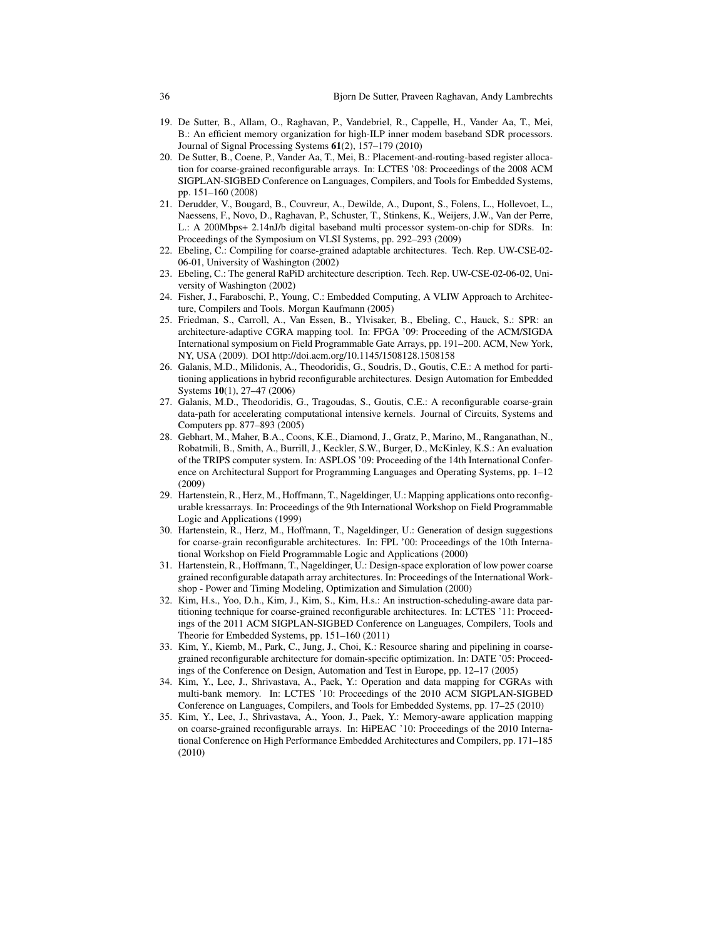- 19. De Sutter, B., Allam, O., Raghavan, P., Vandebriel, R., Cappelle, H., Vander Aa, T., Mei, B.: An efficient memory organization for high-ILP inner modem baseband SDR processors. Journal of Signal Processing Systems 61(2), 157–179 (2010)
- 20. De Sutter, B., Coene, P., Vander Aa, T., Mei, B.: Placement-and-routing-based register allocation for coarse-grained reconfigurable arrays. In: LCTES '08: Proceedings of the 2008 ACM SIGPLAN-SIGBED Conference on Languages, Compilers, and Tools for Embedded Systems, pp. 151–160 (2008)
- 21. Derudder, V., Bougard, B., Couvreur, A., Dewilde, A., Dupont, S., Folens, L., Hollevoet, L., Naessens, F., Novo, D., Raghavan, P., Schuster, T., Stinkens, K., Weijers, J.W., Van der Perre, L.: A 200Mbps+ 2.14nJ/b digital baseband multi processor system-on-chip for SDRs. In: Proceedings of the Symposium on VLSI Systems, pp. 292–293 (2009)
- 22. Ebeling, C.: Compiling for coarse-grained adaptable architectures. Tech. Rep. UW-CSE-02- 06-01, University of Washington (2002)
- 23. Ebeling, C.: The general RaPiD architecture description. Tech. Rep. UW-CSE-02-06-02, University of Washington (2002)
- 24. Fisher, J., Faraboschi, P., Young, C.: Embedded Computing, A VLIW Approach to Architecture, Compilers and Tools. Morgan Kaufmann (2005)
- 25. Friedman, S., Carroll, A., Van Essen, B., Ylvisaker, B., Ebeling, C., Hauck, S.: SPR: an architecture-adaptive CGRA mapping tool. In: FPGA '09: Proceeding of the ACM/SIGDA International symposium on Field Programmable Gate Arrays, pp. 191–200. ACM, New York, NY, USA (2009). DOI http://doi.acm.org/10.1145/1508128.1508158
- 26. Galanis, M.D., Milidonis, A., Theodoridis, G., Soudris, D., Goutis, C.E.: A method for partitioning applications in hybrid reconfigurable architectures. Design Automation for Embedded Systems 10(1), 27–47 (2006)
- 27. Galanis, M.D., Theodoridis, G., Tragoudas, S., Goutis, C.E.: A reconfigurable coarse-grain data-path for accelerating computational intensive kernels. Journal of Circuits, Systems and Computers pp. 877–893 (2005)
- 28. Gebhart, M., Maher, B.A., Coons, K.E., Diamond, J., Gratz, P., Marino, M., Ranganathan, N., Robatmili, B., Smith, A., Burrill, J., Keckler, S.W., Burger, D., McKinley, K.S.: An evaluation of the TRIPS computer system. In: ASPLOS '09: Proceeding of the 14th International Conference on Architectural Support for Programming Languages and Operating Systems, pp. 1–12 (2009)
- 29. Hartenstein, R., Herz, M., Hoffmann, T., Nageldinger, U.: Mapping applications onto reconfigurable kressarrays. In: Proceedings of the 9th International Workshop on Field Programmable Logic and Applications (1999)
- 30. Hartenstein, R., Herz, M., Hoffmann, T., Nageldinger, U.: Generation of design suggestions for coarse-grain reconfigurable architectures. In: FPL '00: Proceedings of the 10th International Workshop on Field Programmable Logic and Applications (2000)
- 31. Hartenstein, R., Hoffmann, T., Nageldinger, U.: Design-space exploration of low power coarse grained reconfigurable datapath array architectures. In: Proceedings of the International Workshop - Power and Timing Modeling, Optimization and Simulation (2000)
- 32. Kim, H.s., Yoo, D.h., Kim, J., Kim, S., Kim, H.s.: An instruction-scheduling-aware data partitioning technique for coarse-grained reconfigurable architectures. In: LCTES '11: Proceedings of the 2011 ACM SIGPLAN-SIGBED Conference on Languages, Compilers, Tools and Theorie for Embedded Systems, pp. 151–160 (2011)
- 33. Kim, Y., Kiemb, M., Park, C., Jung, J., Choi, K.: Resource sharing and pipelining in coarsegrained reconfigurable architecture for domain-specific optimization. In: DATE '05: Proceedings of the Conference on Design, Automation and Test in Europe, pp. 12–17 (2005)
- 34. Kim, Y., Lee, J., Shrivastava, A., Paek, Y.: Operation and data mapping for CGRAs with multi-bank memory. In: LCTES '10: Proceedings of the 2010 ACM SIGPLAN-SIGBED Conference on Languages, Compilers, and Tools for Embedded Systems, pp. 17–25 (2010)
- 35. Kim, Y., Lee, J., Shrivastava, A., Yoon, J., Paek, Y.: Memory-aware application mapping on coarse-grained reconfigurable arrays. In: HiPEAC '10: Proceedings of the 2010 International Conference on High Performance Embedded Architectures and Compilers, pp. 171–185 (2010)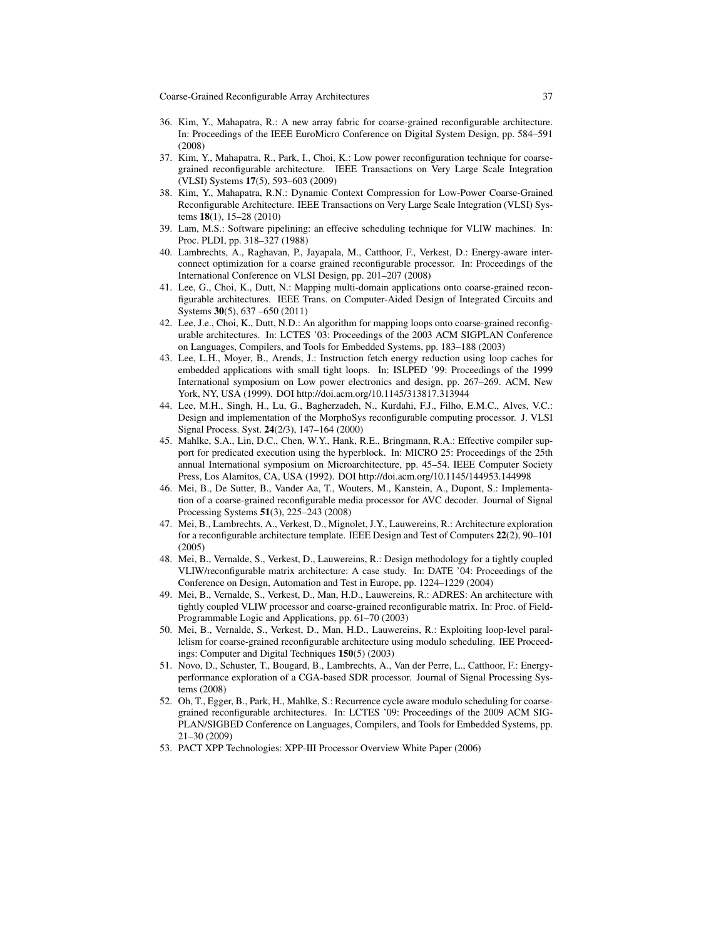- 36. Kim, Y., Mahapatra, R.: A new array fabric for coarse-grained reconfigurable architecture. In: Proceedings of the IEEE EuroMicro Conference on Digital System Design, pp. 584–591 (2008)
- 37. Kim, Y., Mahapatra, R., Park, I., Choi, K.: Low power reconfiguration technique for coarsegrained reconfigurable architecture. IEEE Transactions on Very Large Scale Integration (VLSI) Systems 17(5), 593–603 (2009)
- 38. Kim, Y., Mahapatra, R.N.: Dynamic Context Compression for Low-Power Coarse-Grained Reconfigurable Architecture. IEEE Transactions on Very Large Scale Integration (VLSI) Systems 18(1), 15–28 (2010)
- 39. Lam, M.S.: Software pipelining: an effecive scheduling technique for VLIW machines. In: Proc. PLDI, pp. 318–327 (1988)
- 40. Lambrechts, A., Raghavan, P., Jayapala, M., Catthoor, F., Verkest, D.: Energy-aware interconnect optimization for a coarse grained reconfigurable processor. In: Proceedings of the International Conference on VLSI Design, pp. 201–207 (2008)
- 41. Lee, G., Choi, K., Dutt, N.: Mapping multi-domain applications onto coarse-grained reconfigurable architectures. IEEE Trans. on Computer-Aided Design of Integrated Circuits and Systems 30(5), 637 –650 (2011)
- 42. Lee, J.e., Choi, K., Dutt, N.D.: An algorithm for mapping loops onto coarse-grained reconfigurable architectures. In: LCTES '03: Proceedings of the 2003 ACM SIGPLAN Conference on Languages, Compilers, and Tools for Embedded Systems, pp. 183–188 (2003)
- 43. Lee, L.H., Moyer, B., Arends, J.: Instruction fetch energy reduction using loop caches for embedded applications with small tight loops. In: ISLPED '99: Proceedings of the 1999 International symposium on Low power electronics and design, pp. 267–269. ACM, New York, NY, USA (1999). DOI http://doi.acm.org/10.1145/313817.313944
- 44. Lee, M.H., Singh, H., Lu, G., Bagherzadeh, N., Kurdahi, F.J., Filho, E.M.C., Alves, V.C.: Design and implementation of the MorphoSys reconfigurable computing processor. J. VLSI Signal Process. Syst. 24(2/3), 147–164 (2000)
- 45. Mahlke, S.A., Lin, D.C., Chen, W.Y., Hank, R.E., Bringmann, R.A.: Effective compiler support for predicated execution using the hyperblock. In: MICRO 25: Proceedings of the 25th annual International symposium on Microarchitecture, pp. 45–54. IEEE Computer Society Press, Los Alamitos, CA, USA (1992). DOI http://doi.acm.org/10.1145/144953.144998
- 46. Mei, B., De Sutter, B., Vander Aa, T., Wouters, M., Kanstein, A., Dupont, S.: Implementation of a coarse-grained reconfigurable media processor for AVC decoder. Journal of Signal Processing Systems 51(3), 225–243 (2008)
- 47. Mei, B., Lambrechts, A., Verkest, D., Mignolet, J.Y., Lauwereins, R.: Architecture exploration for a reconfigurable architecture template. IEEE Design and Test of Computers 22(2), 90–101 (2005)
- 48. Mei, B., Vernalde, S., Verkest, D., Lauwereins, R.: Design methodology for a tightly coupled VLIW/reconfigurable matrix architecture: A case study. In: DATE '04: Proceedings of the Conference on Design, Automation and Test in Europe, pp. 1224–1229 (2004)
- 49. Mei, B., Vernalde, S., Verkest, D., Man, H.D., Lauwereins, R.: ADRES: An architecture with tightly coupled VLIW processor and coarse-grained reconfigurable matrix. In: Proc. of Field-Programmable Logic and Applications, pp. 61–70 (2003)
- 50. Mei, B., Vernalde, S., Verkest, D., Man, H.D., Lauwereins, R.: Exploiting loop-level parallelism for coarse-grained reconfigurable architecture using modulo scheduling. IEE Proceedings: Computer and Digital Techniques 150(5) (2003)
- 51. Novo, D., Schuster, T., Bougard, B., Lambrechts, A., Van der Perre, L., Catthoor, F.: Energyperformance exploration of a CGA-based SDR processor. Journal of Signal Processing Systems (2008)
- 52. Oh, T., Egger, B., Park, H., Mahlke, S.: Recurrence cycle aware modulo scheduling for coarsegrained reconfigurable architectures. In: LCTES '09: Proceedings of the 2009 ACM SIG-PLAN/SIGBED Conference on Languages, Compilers, and Tools for Embedded Systems, pp. 21–30 (2009)
- 53. PACT XPP Technologies: XPP-III Processor Overview White Paper (2006)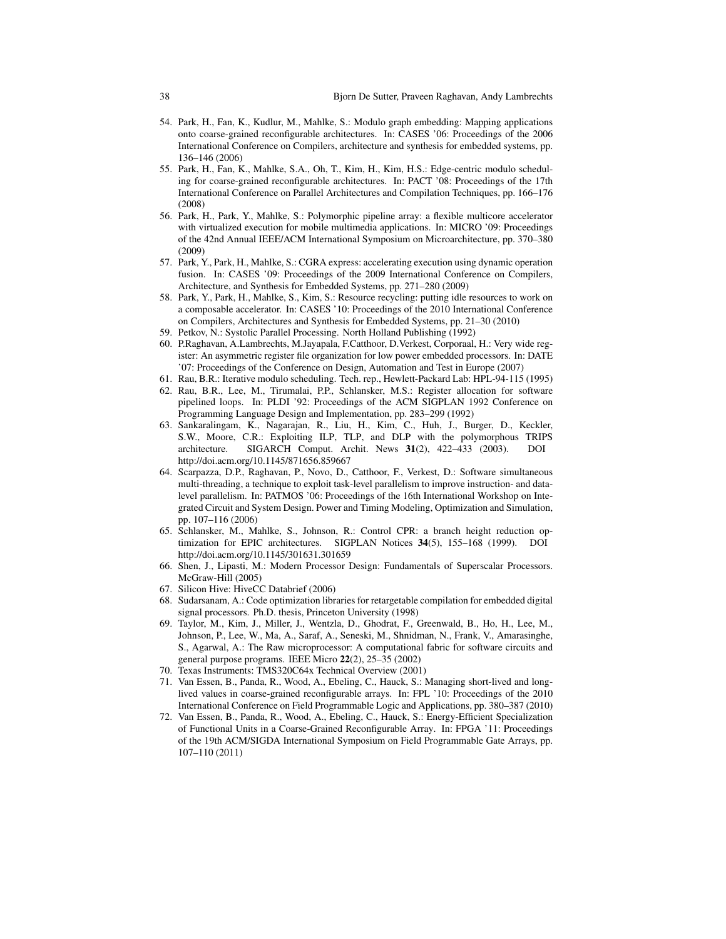- 54. Park, H., Fan, K., Kudlur, M., Mahlke, S.: Modulo graph embedding: Mapping applications onto coarse-grained reconfigurable architectures. In: CASES '06: Proceedings of the 2006 International Conference on Compilers, architecture and synthesis for embedded systems, pp. 136–146 (2006)
- 55. Park, H., Fan, K., Mahlke, S.A., Oh, T., Kim, H., Kim, H.S.: Edge-centric modulo scheduling for coarse-grained reconfigurable architectures. In: PACT '08: Proceedings of the 17th International Conference on Parallel Architectures and Compilation Techniques, pp. 166–176 (2008)
- 56. Park, H., Park, Y., Mahlke, S.: Polymorphic pipeline array: a flexible multicore accelerator with virtualized execution for mobile multimedia applications. In: MICRO '09: Proceedings of the 42nd Annual IEEE/ACM International Symposium on Microarchitecture, pp. 370–380 (2009)
- 57. Park, Y., Park, H., Mahlke, S.: CGRA express: accelerating execution using dynamic operation fusion. In: CASES '09: Proceedings of the 2009 International Conference on Compilers, Architecture, and Synthesis for Embedded Systems, pp. 271–280 (2009)
- 58. Park, Y., Park, H., Mahlke, S., Kim, S.: Resource recycling: putting idle resources to work on a composable accelerator. In: CASES '10: Proceedings of the 2010 International Conference on Compilers, Architectures and Synthesis for Embedded Systems, pp. 21–30 (2010)
- 59. Petkov, N.: Systolic Parallel Processing. North Holland Publishing (1992)
- 60. P.Raghavan, A.Lambrechts, M.Jayapala, F.Catthoor, D.Verkest, Corporaal, H.: Very wide register: An asymmetric register file organization for low power embedded processors. In: DATE '07: Proceedings of the Conference on Design, Automation and Test in Europe (2007)
- 61. Rau, B.R.: Iterative modulo scheduling. Tech. rep., Hewlett-Packard Lab: HPL-94-115 (1995)
- 62. Rau, B.R., Lee, M., Tirumalai, P.P., Schlansker, M.S.: Register allocation for software pipelined loops. In: PLDI '92: Proceedings of the ACM SIGPLAN 1992 Conference on Programming Language Design and Implementation, pp. 283–299 (1992)
- 63. Sankaralingam, K., Nagarajan, R., Liu, H., Kim, C., Huh, J., Burger, D., Keckler, S.W., Moore, C.R.: Exploiting ILP, TLP, and DLP with the polymorphous TRIPS architecture. SIGARCH Comput. Archit. News 31(2), 422–433 (2003). DOI http://doi.acm.org/10.1145/871656.859667
- 64. Scarpazza, D.P., Raghavan, P., Novo, D., Catthoor, F., Verkest, D.: Software simultaneous multi-threading, a technique to exploit task-level parallelism to improve instruction- and datalevel parallelism. In: PATMOS '06: Proceedings of the 16th International Workshop on Integrated Circuit and System Design. Power and Timing Modeling, Optimization and Simulation, pp. 107–116 (2006)
- 65. Schlansker, M., Mahlke, S., Johnson, R.: Control CPR: a branch height reduction optimization for EPIC architectures. SIGPLAN Notices 34(5), 155–168 (1999). DOI http://doi.acm.org/10.1145/301631.301659
- 66. Shen, J., Lipasti, M.: Modern Processor Design: Fundamentals of Superscalar Processors. McGraw-Hill (2005)
- 67. Silicon Hive: HiveCC Databrief (2006)
- 68. Sudarsanam, A.: Code optimization libraries for retargetable compilation for embedded digital signal processors. Ph.D. thesis, Princeton University (1998)
- 69. Taylor, M., Kim, J., Miller, J., Wentzla, D., Ghodrat, F., Greenwald, B., Ho, H., Lee, M., Johnson, P., Lee, W., Ma, A., Saraf, A., Seneski, M., Shnidman, N., Frank, V., Amarasinghe, S., Agarwal, A.: The Raw microprocessor: A computational fabric for software circuits and general purpose programs. IEEE Micro 22(2), 25–35 (2002)
- 70. Texas Instruments: TMS320C64x Technical Overview (2001)
- 71. Van Essen, B., Panda, R., Wood, A., Ebeling, C., Hauck, S.: Managing short-lived and longlived values in coarse-grained reconfigurable arrays. In: FPL '10: Proceedings of the 2010 International Conference on Field Programmable Logic and Applications, pp. 380–387 (2010)
- 72. Van Essen, B., Panda, R., Wood, A., Ebeling, C., Hauck, S.: Energy-Efficient Specialization of Functional Units in a Coarse-Grained Reconfigurable Array. In: FPGA '11: Proceedings of the 19th ACM/SIGDA International Symposium on Field Programmable Gate Arrays, pp. 107–110 (2011)